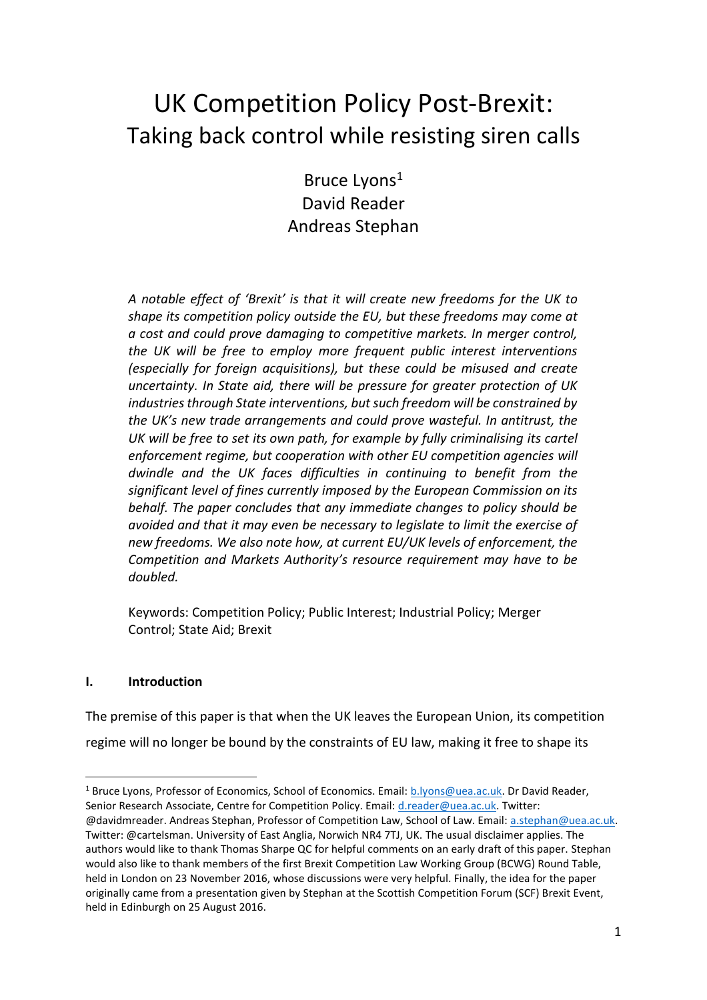# UK Competition Policy Post-Brexit: Taking back control while resisting siren calls

Bruce Lyons<sup>1</sup> David Reader Andreas Stephan

*A notable effect of 'Brexit' is that it will create new freedoms for the UK to shape its competition policy outside the EU, but these freedoms may come at a cost and could prove damaging to competitive markets. In merger control, the UK will be free to employ more frequent public interest interventions (especially for foreign acquisitions), but these could be misused and create uncertainty. In State aid, there will be pressure for greater protection of UK industries through State interventions, but such freedom will be constrained by the UK's new trade arrangements and could prove wasteful. In antitrust, the UK will be free to set its own path, for example by fully criminalising its cartel enforcement regime, but cooperation with other EU competition agencies will dwindle and the UK faces difficulties in continuing to benefit from the significant level of fines currently imposed by the European Commission on its behalf. The paper concludes that any immediate changes to policy should be avoided and that it may even be necessary to legislate to limit the exercise of new freedoms. We also note how, at current EU/UK levels of enforcement, the Competition and Markets Authority's resource requirement may have to be doubled.*

Keywords: Competition Policy; Public Interest; Industrial Policy; Merger Control; State Aid; Brexit

## **I. Introduction**

The premise of this paper is that when the UK leaves the European Union, its competition regime will no longer be bound by the constraints of EU law, making it free to shape its

 $\overline{a}$ <sup>1</sup> Bruce Lyons, Professor of Economics, School of Economics. Email: **b.lyons@uea.ac.uk.** Dr David Reader, Senior Research Associate, Centre for Competition Policy. Email: [d.reader@uea.ac.uk.](mailto:d.reader@uea.ac.uk) Twitter:

<sup>@</sup>davidmreader. Andreas Stephan, Professor of Competition Law, School of Law. Email: [a.stephan@uea.ac.uk.](mailto:a.stephan@uea.ac.uk) Twitter: @cartelsman. University of East Anglia, Norwich NR4 7TJ, UK. The usual disclaimer applies. The authors would like to thank Thomas Sharpe QC for helpful comments on an early draft of this paper. Stephan would also like to thank members of the first Brexit Competition Law Working Group (BCWG) Round Table, held in London on 23 November 2016, whose discussions were very helpful. Finally, the idea for the paper originally came from a presentation given by Stephan at the Scottish Competition Forum (SCF) Brexit Event, held in Edinburgh on 25 August 2016.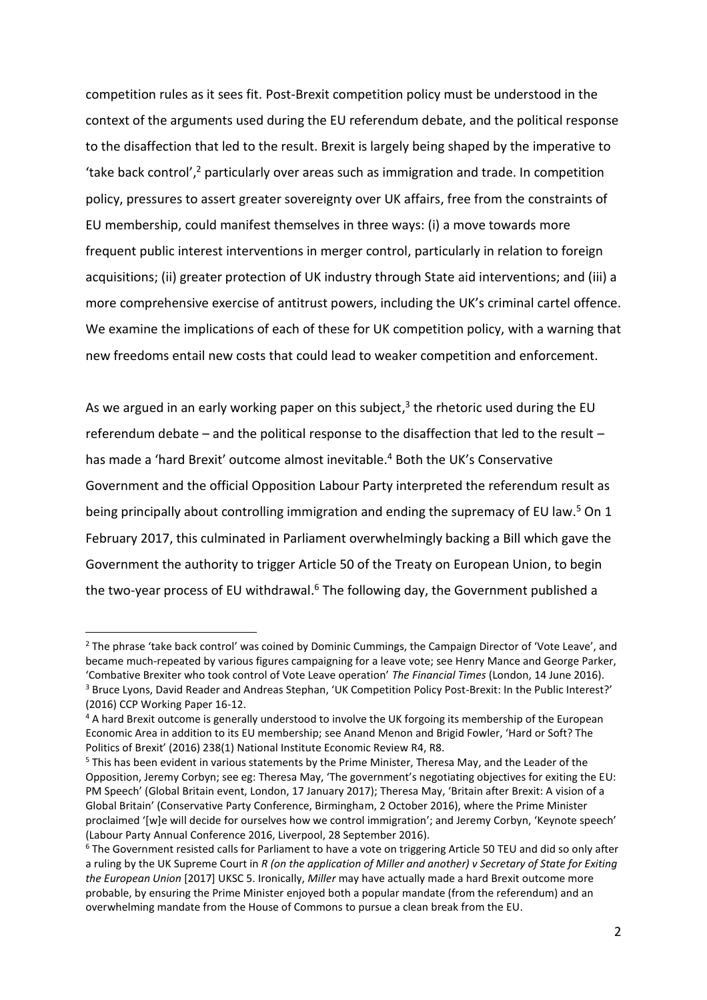competition rules as it sees fit. Post-Brexit competition policy must be understood in the context of the arguments used during the EU referendum debate, and the political response to the disaffection that led to the result. Brexit is largely being shaped by the imperative to 'take back control',<sup>2</sup> particularly over areas such as immigration and trade. In competition policy, pressures to assert greater sovereignty over UK affairs, free from the constraints of EU membership, could manifest themselves in three ways: (i) a move towards more frequent public interest interventions in merger control, particularly in relation to foreign acquisitions; (ii) greater protection of UK industry through State aid interventions; and (iii) a more comprehensive exercise of antitrust powers, including the UK's criminal cartel offence. We examine the implications of each of these for UK competition policy, with a warning that new freedoms entail new costs that could lead to weaker competition and enforcement.

<span id="page-1-0"></span>As we argued in an early working paper on this subject,<sup>3</sup> the rhetoric used during the EU referendum debate – and the political response to the disaffection that led to the result – has made a 'hard Brexit' outcome almost inevitable. <sup>4</sup> Both the UK's Conservative Government and the official Opposition Labour Party interpreted the referendum result as being principally about controlling immigration and ending the supremacy of EU law. <sup>5</sup> On 1 February 2017, this culminated in Parliament overwhelmingly backing a Bill which gave the Government the authority to trigger Article 50 of the Treaty on European Union, to begin the two-year process of EU withdrawal. <sup>6</sup> The following day, the Government published a

<sup>&</sup>lt;sup>2</sup> The phrase 'take back control' was coined by Dominic Cummings, the Campaign Director of 'Vote Leave', and became much-repeated by various figures campaigning for a leave vote; see Henry Mance and George Parker, 'Combative Brexiter who took control of Vote Leave operation' *The Financial Times* (London, 14 June 2016). <sup>3</sup> Bruce Lyons, David Reader and Andreas Stephan, 'UK Competition Policy Post-Brexit: In the Public Interest?' (2016) CCP Working Paper 16-12.

<sup>&</sup>lt;sup>4</sup> A hard Brexit outcome is generally understood to involve the UK forgoing its membership of the European Economic Area in addition to its EU membership; see Anand Menon and Brigid Fowler, 'Hard or Soft? The Politics of Brexit' (2016) 238(1) National Institute Economic Review R4, R8.

<sup>5</sup> This has been evident in various statements by the Prime Minister, Theresa May, and the Leader of the Opposition, Jeremy Corbyn; see eg: Theresa May, 'The government's negotiating objectives for exiting the EU: PM Speech' (Global Britain event, London, 17 January 2017); Theresa May, 'Britain after Brexit: A vision of a Global Britain' (Conservative Party Conference, Birmingham, 2 October 2016), where the Prime Minister proclaimed '[w]e will decide for ourselves how we control immigration'; and Jeremy Corbyn, 'Keynote speech' (Labour Party Annual Conference 2016, Liverpool, 28 September 2016).

<sup>&</sup>lt;sup>6</sup> The Government resisted calls for Parliament to have a vote on triggering Article 50 TEU and did so only after a ruling by the UK Supreme Court in *R (on the application of Miller and another) v Secretary of State for Exiting the European Union* [2017] UKSC 5. Ironically, *Miller* may have actually made a hard Brexit outcome more probable, by ensuring the Prime Minister enjoyed both a popular mandate (from the referendum) and an overwhelming mandate from the House of Commons to pursue a clean break from the EU.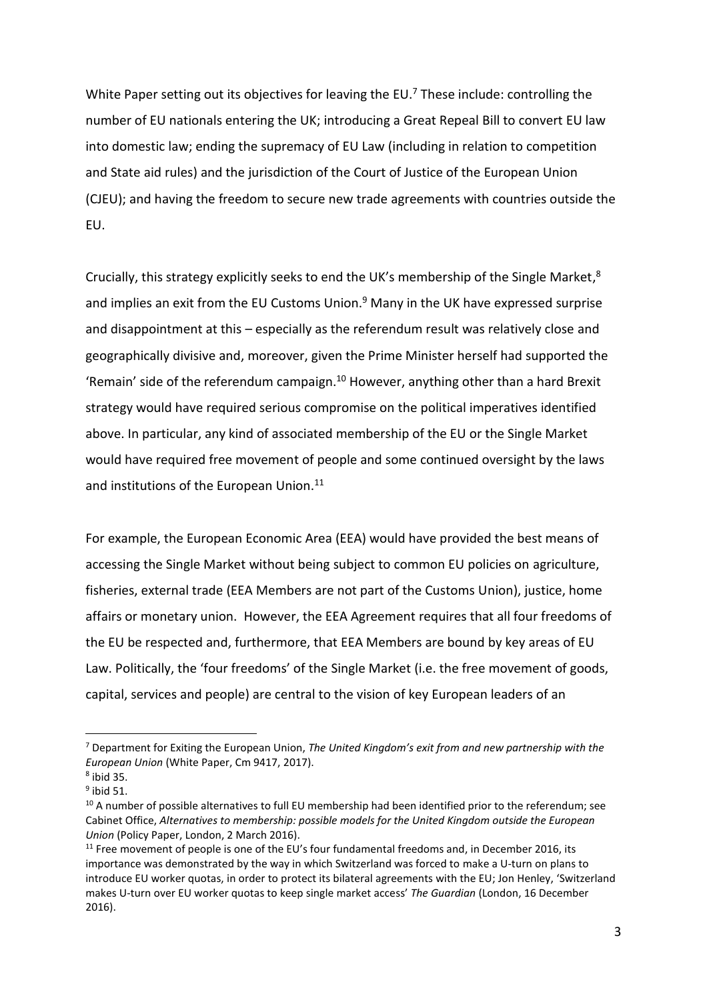<span id="page-2-0"></span>White Paper setting out its objectives for leaving the EU.<sup>7</sup> These include: controlling the number of EU nationals entering the UK; introducing a Great Repeal Bill to convert EU law into domestic law; ending the supremacy of EU Law (including in relation to competition and State aid rules) and the jurisdiction of the Court of Justice of the European Union (CJEU); and having the freedom to secure new trade agreements with countries outside the EU.

Crucially, this strategy explicitly seeks to end the UK's membership of the Single Market, $^8$ and implies an exit from the EU Customs Union.<sup>9</sup> Many in the UK have expressed surprise and disappointment at this – especially as the referendum result was relatively close and geographically divisive and, moreover, given the Prime Minister herself had supported the 'Remain' side of the referendum campaign. $10$  However, anything other than a hard Brexit strategy would have required serious compromise on the political imperatives identified above. In particular, any kind of associated membership of the EU or the Single Market would have required free movement of people and some continued oversight by the laws and institutions of the European Union.<sup>11</sup>

For example, the European Economic Area (EEA) would have provided the best means of accessing the Single Market without being subject to common EU policies on agriculture, fisheries, external trade (EEA Members are not part of the Customs Union), justice, home affairs or monetary union. However, the EEA Agreement requires that all four freedoms of the EU be respected and, furthermore, that EEA Members are bound by key areas of EU Law. Politically, the 'four freedoms' of the Single Market (i.e. the free movement of goods, capital, services and people) are central to the vision of key European leaders of an

<sup>7</sup> Department for Exiting the European Union, *The United Kingdom's exit from and new partnership with the European Union* (White Paper, Cm 9417, 2017).

 $^8$  ibid 35.

 $9$  ibid 51.

<sup>&</sup>lt;sup>10</sup> A number of possible alternatives to full EU membership had been identified prior to the referendum; see Cabinet Office, *Alternatives to membership: possible models for the United Kingdom outside the European Union* (Policy Paper, London, 2 March 2016).

<sup>&</sup>lt;sup>11</sup> Free movement of people is one of the EU's four fundamental freedoms and, in December 2016, its importance was demonstrated by the way in which Switzerland was forced to make a U-turn on plans to introduce EU worker quotas, in order to protect its bilateral agreements with the EU; Jon Henley, 'Switzerland makes U-turn over EU worker quotas to keep single market access' *The Guardian* (London, 16 December 2016).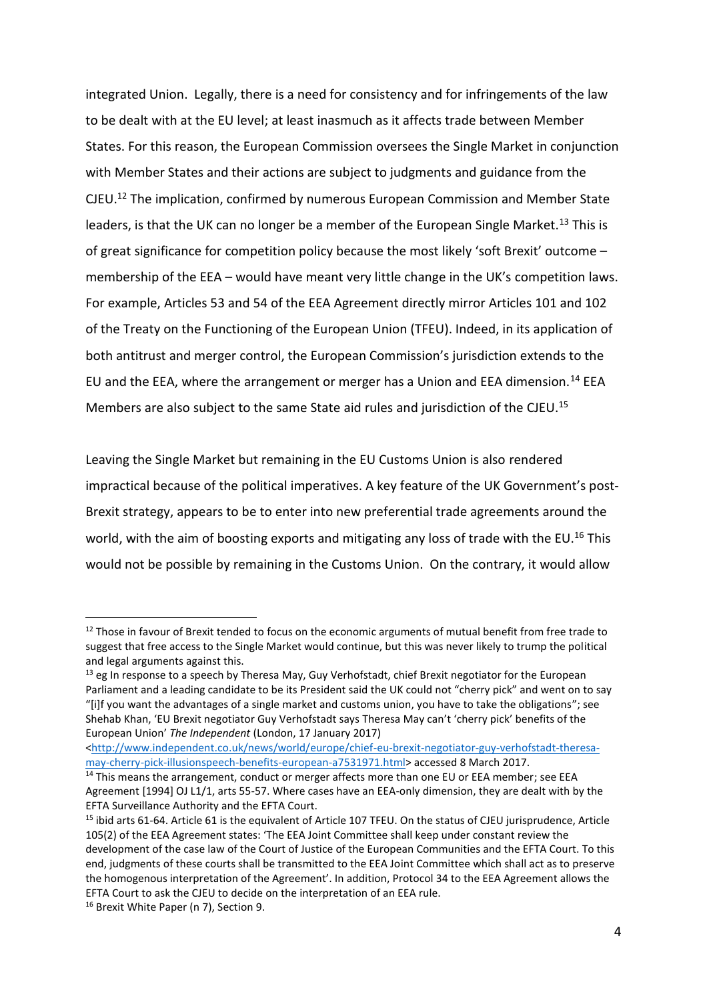integrated Union. Legally, there is a need for consistency and for infringements of the law to be dealt with at the EU level; at least inasmuch as it affects trade between Member States. For this reason, the European Commission oversees the Single Market in conjunction with Member States and their actions are subject to judgments and guidance from the CJEU. <sup>12</sup> The implication, confirmed by numerous European Commission and Member State leaders, is that the UK can no longer be a member of the European Single Market.<sup>13</sup> This is of great significance for competition policy because the most likely 'soft Brexit' outcome – membership of the EEA – would have meant very little change in the UK's competition laws. For example, Articles 53 and 54 of the EEA Agreement directly mirror Articles 101 and 102 of the Treaty on the Functioning of the European Union (TFEU). Indeed, in its application of both antitrust and merger control, the European Commission's jurisdiction extends to the EU and the EEA, where the arrangement or merger has a Union and EEA dimension.<sup>14</sup> EEA Members are also subject to the same State aid rules and jurisdiction of the CJEU.<sup>15</sup>

Leaving the Single Market but remaining in the EU Customs Union is also rendered impractical because of the political imperatives. A key feature of the UK Government's post-Brexit strategy, appears to be to enter into new preferential trade agreements around the world, with the aim of boosting exports and mitigating any loss of trade with the EU.<sup>16</sup> This would not be possible by remaining in the Customs Union. On the contrary, it would allow

<sup>&</sup>lt;sup>12</sup> Those in favour of Brexit tended to focus on the economic arguments of mutual benefit from free trade to suggest that free access to the Single Market would continue, but this was never likely to trump the political and legal arguments against this.

<sup>&</sup>lt;sup>13</sup> eg In response to a speech by Theresa May, Guy Verhofstadt, chief Brexit negotiator for the European Parliament and a leading candidate to be its President said the UK could not "cherry pick" and went on to say "[i]f you want the advantages of a single market and customs union, you have to take the obligations"; see Shehab Khan, 'EU Brexit negotiator Guy Verhofstadt says Theresa May can't 'cherry pick' benefits of the European Union' *The Independent* (London, 17 January 2017)

[<sup>&</sup>lt;http://www.independent.co.uk/news/world/europe/chief-eu-brexit-negotiator-guy-verhofstadt-theresa](http://www.independent.co.uk/news/world/europe/chief-eu-brexit-negotiator-guy-verhofstadt-theresa-may-cherry-pick-illusionspeech-benefits-european-a7531971.html)[may-cherry-pick-illusionspeech-benefits-european-a7531971.html>](http://www.independent.co.uk/news/world/europe/chief-eu-brexit-negotiator-guy-verhofstadt-theresa-may-cherry-pick-illusionspeech-benefits-european-a7531971.html) accessed 8 March 2017.

 $14$  This means the arrangement, conduct or merger affects more than one EU or EEA member; see EEA Agreement [1994] OJ L1/1, arts 55-57. Where cases have an EEA-only dimension, they are dealt with by the EFTA Surveillance Authority and the EFTA Court.

<sup>&</sup>lt;sup>15</sup> ibid arts 61-64. Article 61 is the equivalent of Article 107 TFEU. On the status of CJEU jurisprudence, Article 105(2) of the EEA Agreement states: 'The EEA Joint Committee shall keep under constant review the development of the case law of the Court of Justice of the European Communities and the EFTA Court. To this end, judgments of these courts shall be transmitted to the EEA Joint Committee which shall act as to preserve the homogenous interpretation of the Agreement'. In addition, Protocol 34 to the EEA Agreement allows the EFTA Court to ask the CJEU to decide on the interpretation of an EEA rule.

<sup>&</sup>lt;sup>16</sup> Brexit White Paper (n [7\)](#page-2-0), Section 9.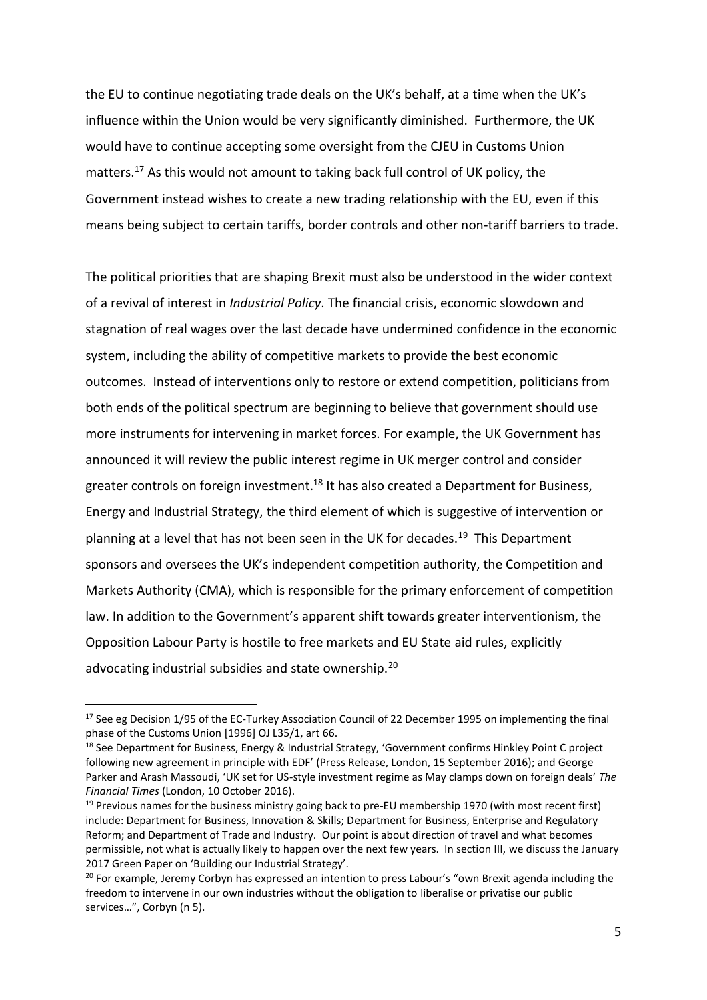the EU to continue negotiating trade deals on the UK's behalf, at a time when the UK's influence within the Union would be very significantly diminished. Furthermore, the UK would have to continue accepting some oversight from the CJEU in Customs Union matters.<sup>17</sup> As this would not amount to taking back full control of UK policy, the Government instead wishes to create a new trading relationship with the EU, even if this means being subject to certain tariffs, border controls and other non-tariff barriers to trade.

The political priorities that are shaping Brexit must also be understood in the wider context of a revival of interest in *Industrial Policy*. The financial crisis, economic slowdown and stagnation of real wages over the last decade have undermined confidence in the economic system, including the ability of competitive markets to provide the best economic outcomes. Instead of interventions only to restore or extend competition, politicians from both ends of the political spectrum are beginning to believe that government should use more instruments for intervening in market forces. For example, the UK Government has announced it will review the public interest regime in UK merger control and consider greater controls on foreign investment.<sup>18</sup> It has also created a Department for Business, Energy and Industrial Strategy, the third element of which is suggestive of intervention or planning at a level that has not been seen in the UK for decades.<sup>19</sup> This Department sponsors and oversees the UK's independent competition authority, the Competition and Markets Authority (CMA), which is responsible for the primary enforcement of competition law. In addition to the Government's apparent shift towards greater interventionism, the Opposition Labour Party is hostile to free markets and EU State aid rules, explicitly advocating industrial subsidies and state ownership.<sup>20</sup>

<sup>&</sup>lt;sup>17</sup> See eg Decision 1/95 of the EC-Turkey Association Council of 22 December 1995 on implementing the final phase of the Customs Union [1996] OJ L35/1, art 66.

<sup>&</sup>lt;sup>18</sup> See Department for Business, Energy & Industrial Strategy, 'Government confirms Hinkley Point C project following new agreement in principle with EDF' (Press Release, London, 15 September 2016); and George Parker and Arash Massoudi, 'UK set for US-style investment regime as May clamps down on foreign deals' *The Financial Times* (London, 10 October 2016).

<sup>&</sup>lt;sup>19</sup> Previous names for the business ministry going back to pre-EU membership 1970 (with most recent first) include: Department for Business, Innovation & Skills; Department for Business, Enterprise and Regulatory Reform; and Department of Trade and Industry. Our point is about direction of travel and what becomes permissible, not what is actually likely to happen over the next few years. In section III, we discuss the January 2017 Green Paper on 'Building our Industrial Strategy'.

<sup>&</sup>lt;sup>20</sup> For example, Jeremy Corbyn has expressed an intention to press Labour's "own Brexit agenda including the freedom to intervene in our own industries without the obligation to liberalise or privatise our public services…", Corbyn (n [5\)](#page-1-0).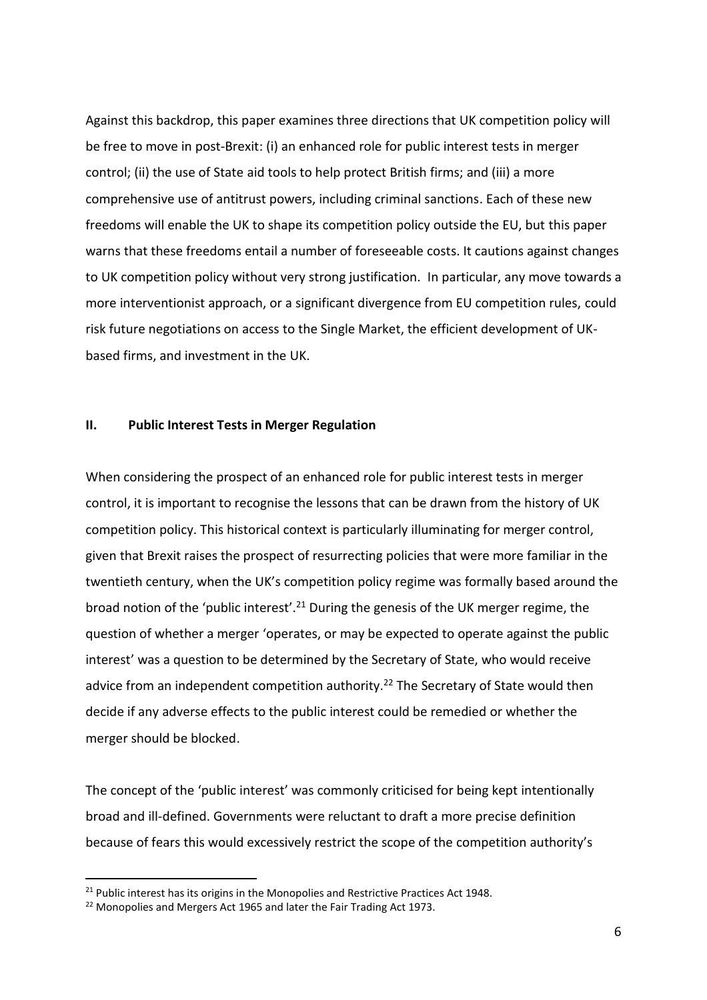Against this backdrop, this paper examines three directions that UK competition policy will be free to move in post-Brexit: (i) an enhanced role for public interest tests in merger control; (ii) the use of State aid tools to help protect British firms; and (iii) a more comprehensive use of antitrust powers, including criminal sanctions. Each of these new freedoms will enable the UK to shape its competition policy outside the EU, but this paper warns that these freedoms entail a number of foreseeable costs. It cautions against changes to UK competition policy without very strong justification. In particular, any move towards a more interventionist approach, or a significant divergence from EU competition rules, could risk future negotiations on access to the Single Market, the efficient development of UKbased firms, and investment in the UK.

## **II. Public Interest Tests in Merger Regulation**

When considering the prospect of an enhanced role for public interest tests in merger control, it is important to recognise the lessons that can be drawn from the history of UK competition policy. This historical context is particularly illuminating for merger control, given that Brexit raises the prospect of resurrecting policies that were more familiar in the twentieth century, when the UK's competition policy regime was formally based around the broad notion of the 'public interest'.<sup>21</sup> During the genesis of the UK merger regime, the question of whether a merger 'operates, or may be expected to operate against the public interest' was a question to be determined by the Secretary of State, who would receive advice from an independent competition authority.<sup>22</sup> The Secretary of State would then decide if any adverse effects to the public interest could be remedied or whether the merger should be blocked.

The concept of the 'public interest' was commonly criticised for being kept intentionally broad and ill-defined. Governments were reluctant to draft a more precise definition because of fears this would excessively restrict the scope of the competition authority's

<sup>&</sup>lt;sup>21</sup> Public interest has its origins in the Monopolies and Restrictive Practices Act 1948.

<sup>&</sup>lt;sup>22</sup> Monopolies and Mergers Act 1965 and later the Fair Trading Act 1973.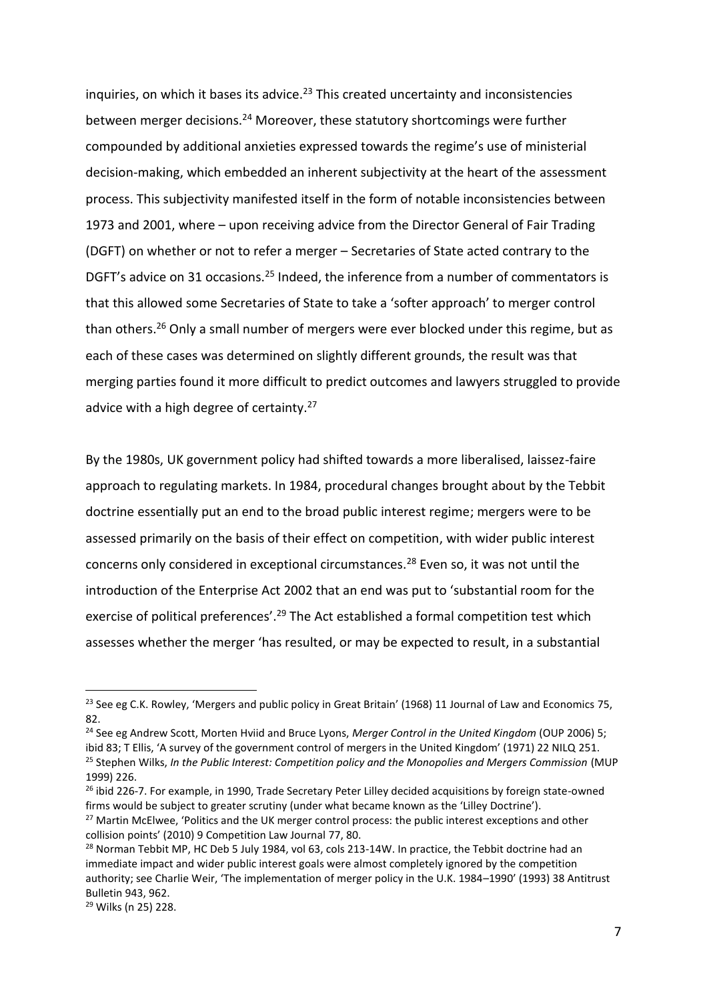<span id="page-6-0"></span>inquiries, on which it bases its advice. <sup>23</sup> This created uncertainty and inconsistencies between merger decisions.<sup>24</sup> Moreover, these statutory shortcomings were further compounded by additional anxieties expressed towards the regime's use of ministerial decision-making, which embedded an inherent subjectivity at the heart of the assessment process. This subjectivity manifested itself in the form of notable inconsistencies between 1973 and 2001, where – upon receiving advice from the Director General of Fair Trading (DGFT) on whether or not to refer a merger – Secretaries of State acted contrary to the DGFT's advice on 31 occasions.<sup>25</sup> Indeed, the inference from a number of commentators is that this allowed some Secretaries of State to take a 'softer approach' to merger control than others.<sup>26</sup> Only a small number of mergers were ever blocked under this regime, but as each of these cases was determined on slightly different grounds, the result was that merging parties found it more difficult to predict outcomes and lawyers struggled to provide advice with a high degree of certainty.<sup>27</sup>

By the 1980s, UK government policy had shifted towards a more liberalised, laissez-faire approach to regulating markets. In 1984, procedural changes brought about by the Tebbit doctrine essentially put an end to the broad public interest regime; mergers were to be assessed primarily on the basis of their effect on competition, with wider public interest concerns only considered in exceptional circumstances.<sup>28</sup> Even so, it was not until the introduction of the Enterprise Act 2002 that an end was put to 'substantial room for the exercise of political preferences'.<sup>29</sup> The Act established a formal competition test which assesses whether the merger 'has resulted, or may be expected to result, in a substantial

<sup>24</sup> See eg Andrew Scott, Morten Hviid and Bruce Lyons, *Merger Control in the United Kingdom* (OUP 2006) 5; ibid 83; T Ellis, 'A survey of the government control of mergers in the United Kingdom' (1971) 22 NILQ 251.

<sup>25</sup> Stephen Wilks, *In the Public Interest: Competition policy and the Monopolies and Mergers Commission (MUP* 1999) 226.

<sup>&</sup>lt;sup>23</sup> See eg C.K. Rowley, 'Mergers and public policy in Great Britain' (1968) 11 Journal of Law and Economics 75, 82.

<sup>&</sup>lt;sup>26</sup> ibid 226-7. For example, in 1990, Trade Secretary Peter Lilley decided acquisitions by foreign state-owned firms would be subject to greater scrutiny (under what became known as the 'Lilley Doctrine').

<sup>&</sup>lt;sup>27</sup> Martin McElwee, 'Politics and the UK merger control process: the public interest exceptions and other collision points' (2010) 9 Competition Law Journal 77, 80.

<sup>&</sup>lt;sup>28</sup> Norman Tebbit MP, HC Deb 5 July 1984, vol 63, cols 213-14W. In practice, the Tebbit doctrine had an immediate impact and wider public interest goals were almost completely ignored by the competition authority; see Charlie Weir, 'The implementation of merger policy in the U.K. 1984–1990' (1993) 38 Antitrust Bulletin 943, 962.

<sup>29</sup> Wilks ([n 25\)](#page-6-0) 228.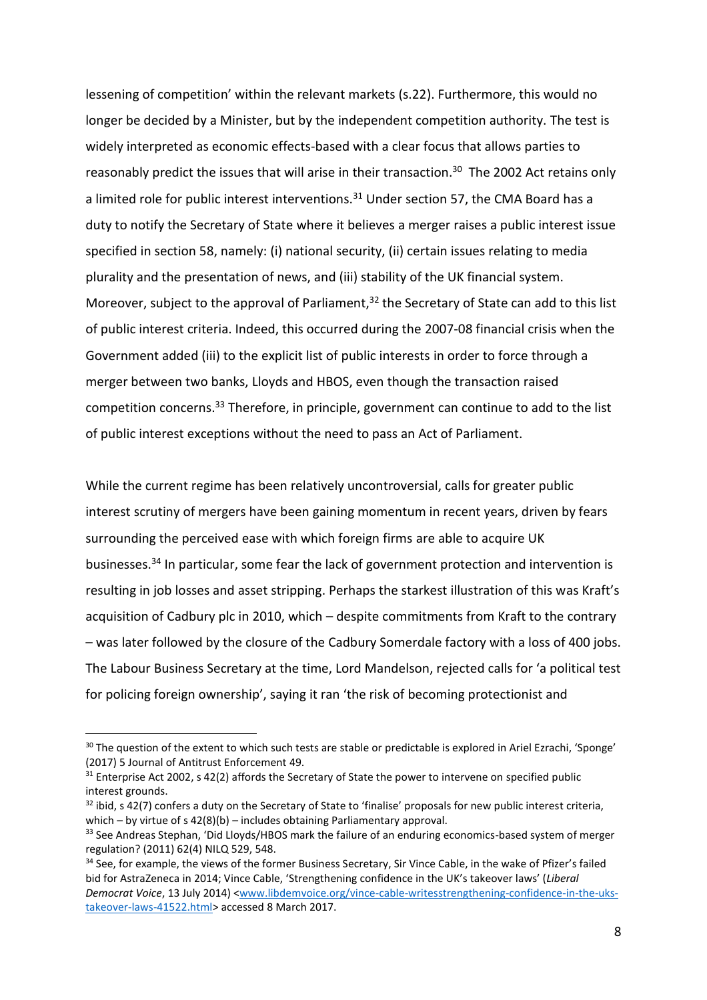lessening of competition' within the relevant markets (s.22). Furthermore, this would no longer be decided by a Minister, but by the independent competition authority. The test is widely interpreted as economic effects-based with a clear focus that allows parties to reasonably predict the issues that will arise in their transaction. <sup>30</sup> The 2002 Act retains only a limited role for public interest interventions.<sup>31</sup> Under section 57, the CMA Board has a duty to notify the Secretary of State where it believes a merger raises a public interest issue specified in section 58, namely: (i) national security, (ii) certain issues relating to media plurality and the presentation of news, and (iii) stability of the UK financial system. Moreover, subject to the approval of Parliament, $32$  the Secretary of State can add to this list of public interest criteria. Indeed, this occurred during the 2007-08 financial crisis when the Government added (iii) to the explicit list of public interests in order to force through a merger between two banks, Lloyds and HBOS, even though the transaction raised competition concerns.<sup>33</sup> Therefore, in principle, government can continue to add to the list of public interest exceptions without the need to pass an Act of Parliament.

<span id="page-7-0"></span>While the current regime has been relatively uncontroversial, calls for greater public interest scrutiny of mergers have been gaining momentum in recent years, driven by fears surrounding the perceived ease with which foreign firms are able to acquire UK businesses.<sup>34</sup> In particular, some fear the lack of government protection and intervention is resulting in job losses and asset stripping. Perhaps the starkest illustration of this was Kraft's acquisition of Cadbury plc in 2010, which – despite commitments from Kraft to the contrary – was later followed by the closure of the Cadbury Somerdale factory with a loss of 400 jobs. The Labour Business Secretary at the time, Lord Mandelson, rejected calls for 'a political test for policing foreign ownership', saying it ran 'the risk of becoming protectionist and

 $30$  The question of the extent to which such tests are stable or predictable is explored in Ariel Ezrachi, 'Sponge' (2017) 5 Journal of Antitrust Enforcement 49.

 $31$  Enterprise Act 2002, s 42(2) affords the Secretary of State the power to intervene on specified public interest grounds.

 $32$  ibid, s 42(7) confers a duty on the Secretary of State to 'finalise' proposals for new public interest criteria, which – by virtue of s 42(8)(b) – includes obtaining Parliamentary approval.

<sup>&</sup>lt;sup>33</sup> See Andreas Stephan, 'Did Lloyds/HBOS mark the failure of an enduring economics-based system of merger regulation? (2011) 62(4) NILQ 529, 548.

<sup>34</sup> See, for example, the views of the former Business Secretary, Sir Vince Cable, in the wake of Pfizer's failed bid for AstraZeneca in 2014; Vince Cable, 'Strengthening confidence in the UK's takeover laws' (*Liberal Democrat Voice*, 13 July 2014) [<www.libdemvoice.org/vince-cable-writesstrengthening-confidence-in-the-uks](http://www.libdemvoice.org/vince-cable-writesstrengthening-confidence-in-the-uks-takeover-laws-41522.html)[takeover-laws-41522.html>](http://www.libdemvoice.org/vince-cable-writesstrengthening-confidence-in-the-uks-takeover-laws-41522.html) accessed 8 March 2017.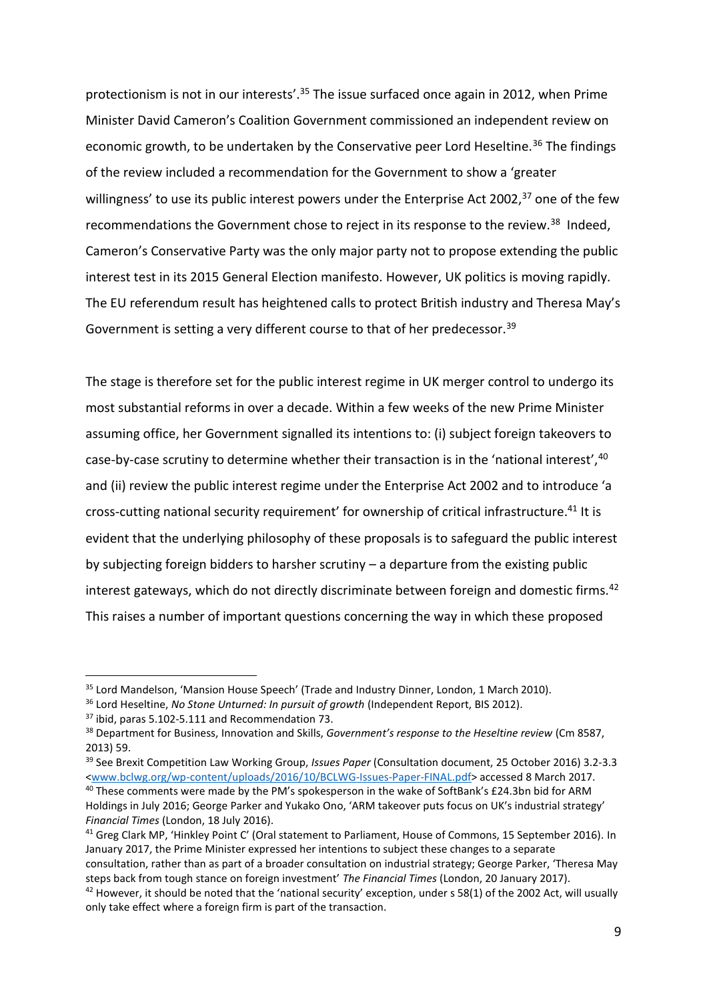protectionism is not in our interests'.<sup>35</sup> The issue surfaced once again in 2012, when Prime Minister David Cameron's Coalition Government commissioned an independent review on economic growth, to be undertaken by the Conservative peer Lord Heseltine.<sup>36</sup> The findings of the review included a recommendation for the Government to show a 'greater willingness' to use its public interest powers under the Enterprise Act 2002,<sup>37</sup> one of the few recommendations the Government chose to reject in its response to the review.<sup>38</sup> Indeed, Cameron's Conservative Party was the only major party not to propose extending the public interest test in its 2015 General Election manifesto. However, UK politics is moving rapidly. The EU referendum result has heightened calls to protect British industry and Theresa May's Government is setting a very different course to that of her predecessor.<sup>39</sup>

<span id="page-8-0"></span>The stage is therefore set for the public interest regime in UK merger control to undergo its most substantial reforms in over a decade. Within a few weeks of the new Prime Minister assuming office, her Government signalled its intentions to: (i) subject foreign takeovers to case-by-case scrutiny to determine whether their transaction is in the 'national interest', $^{40}$ and (ii) review the public interest regime under the Enterprise Act 2002 and to introduce 'a cross-cutting national security requirement' for ownership of critical infrastructure.<sup>41</sup> It is evident that the underlying philosophy of these proposals is to safeguard the public interest by subjecting foreign bidders to harsher scrutiny – a departure from the existing public interest gateways, which do not directly discriminate between foreign and domestic firms.<sup>42</sup> This raises a number of important questions concerning the way in which these proposed

l <sup>35</sup> Lord Mandelson, 'Mansion House Speech' (Trade and Industry Dinner, London, 1 March 2010).

<sup>36</sup> Lord Heseltine, *No Stone Unturned: In pursuit of growth* (Independent Report, BIS 2012).

 $37$  ibid, paras 5.102-5.111 and Recommendation 73.

<sup>38</sup> Department for Business, Innovation and Skills, *Government's response to the Heseltine review* (Cm 8587, 2013) 59.

<sup>39</sup> See Brexit Competition Law Working Group, *Issues Paper* (Consultation document, 25 October 2016) 3.2-3.3 [<www.bclwg.org/wp-content/uploads/2016/10/BCLWG-Issues-Paper-FINAL.pdf>](file:///G:/Brexit%20Paper/www.bclwg.org/wp-content/uploads/2016/10/BCLWG-Issues-Paper-FINAL.pdf) accessed 8 March 2017. <sup>40</sup> These comments were made by the PM's spokesperson in the wake of SoftBank's £24.3bn bid for ARM Holdings in July 2016; George Parker and Yukako Ono, 'ARM takeover puts focus on UK's industrial strategy'

*Financial Times* (London, 18 July 2016). <sup>41</sup> Greg Clark MP, 'Hinkley Point C' (Oral statement to Parliament, House of Commons, 15 September 2016). In January 2017, the Prime Minister expressed her intentions to subject these changes to a separate

consultation, rather than as part of a broader consultation on industrial strategy; George Parker, 'Theresa May steps back from tough stance on foreign investment' *The Financial Times* (London, 20 January 2017).

 $42$  However, it should be noted that the 'national security' exception, under s 58(1) of the 2002 Act, will usually only take effect where a foreign firm is part of the transaction.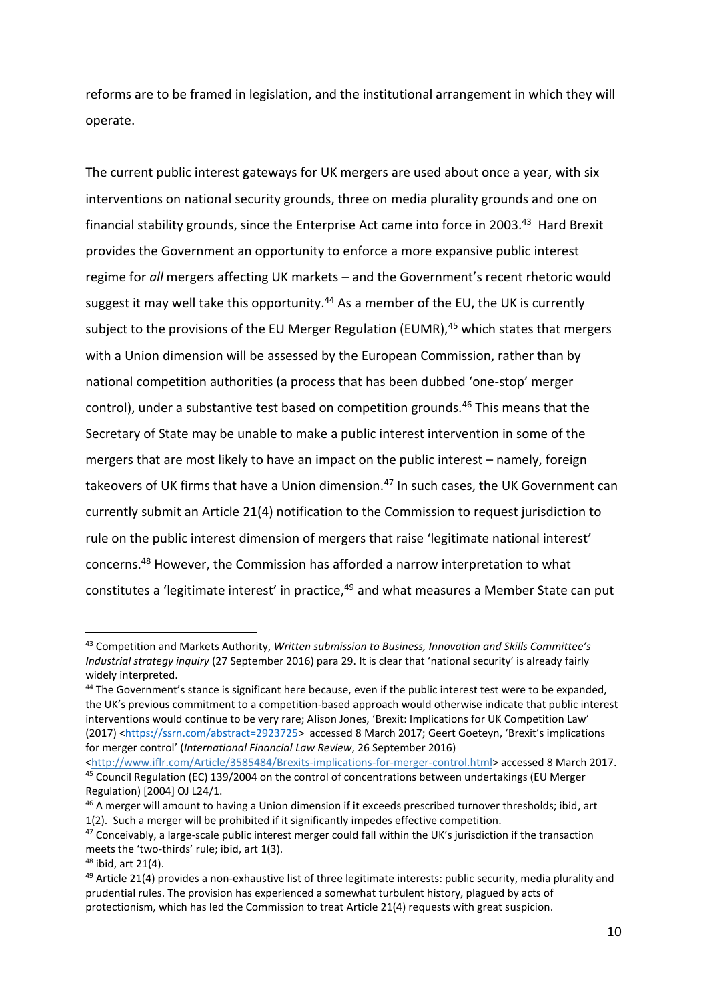reforms are to be framed in legislation, and the institutional arrangement in which they will operate.

<span id="page-9-0"></span>The current public interest gateways for UK mergers are used about once a year, with six interventions on national security grounds, three on media plurality grounds and one on financial stability grounds, since the Enterprise Act came into force in 2003.<sup>43</sup> Hard Brexit provides the Government an opportunity to enforce a more expansive public interest regime for *all* mergers affecting UK markets – and the Government's recent rhetoric would suggest it may well take this opportunity. <sup>44</sup> As a member of the EU, the UK is currently subject to the provisions of the EU Merger Regulation (EUMR), $45$  which states that mergers with a Union dimension will be assessed by the European Commission, rather than by national competition authorities (a process that has been dubbed 'one-stop' merger control), under a substantive test based on competition grounds.<sup>46</sup> This means that the Secretary of State may be unable to make a public interest intervention in some of the mergers that are most likely to have an impact on the public interest – namely, foreign takeovers of UK firms that have a Union dimension.<sup>47</sup> In such cases, the UK Government can currently submit an Article 21(4) notification to the Commission to request jurisdiction to rule on the public interest dimension of mergers that raise 'legitimate national interest' concerns.<sup>48</sup> However, the Commission has afforded a narrow interpretation to what constitutes a 'legitimate interest' in practice,<sup>49</sup> and what measures a Member State can put

<sup>43</sup> Competition and Markets Authority, *Written submission to Business, Innovation and Skills Committee's Industrial strategy inquiry* (27 September 2016) para 29. It is clear that 'national security' is already fairly widely interpreted.

<sup>44</sup> The Government's stance is significant here because, even if the public interest test were to be expanded, the UK's previous commitment to a competition-based approach would otherwise indicate that public interest interventions would continue to be very rare; Alison Jones, 'Brexit: Implications for UK Competition Law' (2017) [<https://ssrn.com/abstract=2923725>](https://ssrn.com/abstract=2923725) accessed 8 March 2017; Geert Goeteyn, 'Brexit's implications for merger control' (*International Financial Law Review*, 26 September 2016)

[<sup>&</sup>lt;http://www.iflr.com/Article/3585484/Brexits-implications-for-merger-control.html>](http://www.iflr.com/Article/3585484/Brexits-implications-for-merger-control.html) accessed 8 March 2017. <sup>45</sup> Council Regulation (EC) 139/2004 on the control of concentrations between undertakings (EU Merger Regulation) [2004] OJ L24/1.

<sup>&</sup>lt;sup>46</sup> A merger will amount to having a Union dimension if it exceeds prescribed turnover thresholds; ibid, art 1(2). Such a merger will be prohibited if it significantly impedes effective competition.

<sup>&</sup>lt;sup>47</sup> Conceivably, a large-scale public interest merger could fall within the UK's jurisdiction if the transaction meets the 'two-thirds' rule; ibid, art 1(3).

<sup>48</sup> ibid, art 21(4).

 $49$  Article 21(4) provides a non-exhaustive list of three legitimate interests: public security, media plurality and prudential rules. The provision has experienced a somewhat turbulent history, plagued by acts of protectionism, which has led the Commission to treat Article 21(4) requests with great suspicion.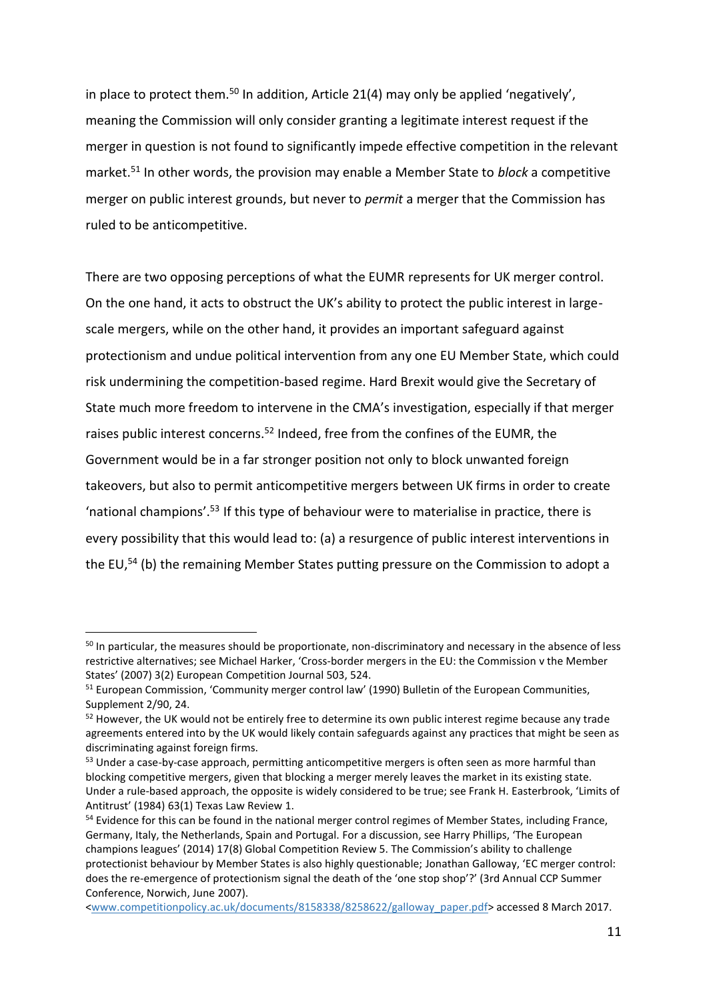in place to protect them.<sup>50</sup> In addition, Article 21(4) may only be applied 'negatively', meaning the Commission will only consider granting a legitimate interest request if the merger in question is not found to significantly impede effective competition in the relevant market. <sup>51</sup> In other words, the provision may enable a Member State to *block* a competitive merger on public interest grounds, but never to *permit* a merger that the Commission has ruled to be anticompetitive.

There are two opposing perceptions of what the EUMR represents for UK merger control. On the one hand, it acts to obstruct the UK's ability to protect the public interest in largescale mergers, while on the other hand, it provides an important safeguard against protectionism and undue political intervention from any one EU Member State, which could risk undermining the competition-based regime. Hard Brexit would give the Secretary of State much more freedom to intervene in the CMA's investigation, especially if that merger raises public interest concerns.<sup>52</sup> Indeed, free from the confines of the EUMR, the Government would be in a far stronger position not only to block unwanted foreign takeovers, but also to permit anticompetitive mergers between UK firms in order to create 'national champions'.<sup>53</sup> If this type of behaviour were to materialise in practice, there is every possibility that this would lead to: (a) a resurgence of public interest interventions in the EU,<sup>54</sup> (b) the remaining Member States putting pressure on the Commission to adopt a

<sup>&</sup>lt;sup>50</sup> In particular, the measures should be proportionate, non-discriminatory and necessary in the absence of less restrictive alternatives; see Michael Harker, 'Cross-border mergers in the EU: the Commission v the Member States' (2007) 3(2) European Competition Journal 503, 524.

<sup>&</sup>lt;sup>51</sup> European Commission, 'Community merger control law' (1990) Bulletin of the European Communities, Supplement 2/90, 24.

<sup>&</sup>lt;sup>52</sup> However, the UK would not be entirely free to determine its own public interest regime because any trade agreements entered into by the UK would likely contain safeguards against any practices that might be seen as discriminating against foreign firms.

<sup>&</sup>lt;sup>53</sup> Under a case-by-case approach, permitting anticompetitive mergers is often seen as more harmful than blocking competitive mergers, given that blocking a merger merely leaves the market in its existing state. Under a rule-based approach, the opposite is widely considered to be true; see Frank H. Easterbrook, 'Limits of Antitrust' (1984) 63(1) Texas Law Review 1.

<sup>&</sup>lt;sup>54</sup> Evidence for this can be found in the national merger control regimes of Member States, including France, Germany, Italy, the Netherlands, Spain and Portugal. For a discussion, see Harry Phillips, 'The European champions leagues' (2014) 17(8) Global Competition Review 5. The Commission's ability to challenge protectionist behaviour by Member States is also highly questionable; Jonathan Galloway, 'EC merger control: does the re-emergence of protectionism signal the death of the 'one stop shop'?' (3rd Annual CCP Summer Conference, Norwich, June 2007).

[<sup>&</sup>lt;www.competitionpolicy.ac.uk/documents/8158338/8258622/galloway\\_paper.pdf>](http://www.competitionpolicy.ac.uk/documents/8158338/8258622/galloway_paper.pdf) accessed 8 March 2017.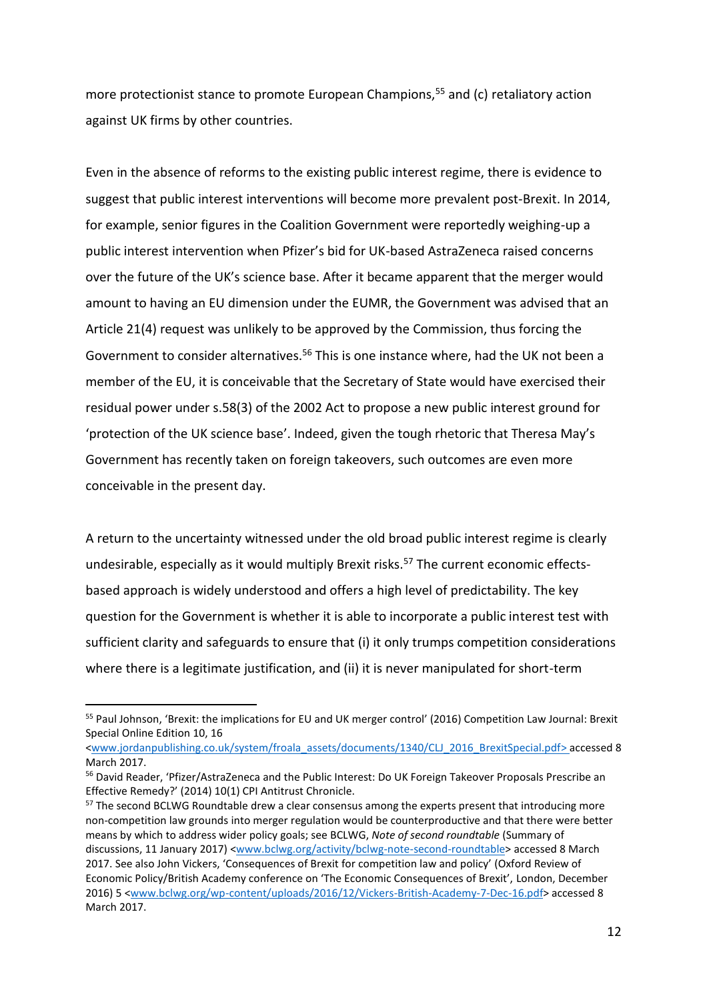<span id="page-11-0"></span>more protectionist stance to promote European Champions,<sup>55</sup> and (c) retaliatory action against UK firms by other countries.

Even in the absence of reforms to the existing public interest regime, there is evidence to suggest that public interest interventions will become more prevalent post-Brexit. In 2014, for example, senior figures in the Coalition Government were reportedly weighing-up a public interest intervention when Pfizer's bid for UK-based AstraZeneca raised concerns over the future of the UK's science base. After it became apparent that the merger would amount to having an EU dimension under the EUMR, the Government was advised that an Article 21(4) request was unlikely to be approved by the Commission, thus forcing the Government to consider alternatives.<sup>56</sup> This is one instance where, had the UK not been a member of the EU, it is conceivable that the Secretary of State would have exercised their residual power under s.58(3) of the 2002 Act to propose a new public interest ground for 'protection of the UK science base'. Indeed, given the tough rhetoric that Theresa May's Government has recently taken on foreign takeovers, such outcomes are even more conceivable in the present day.

A return to the uncertainty witnessed under the old broad public interest regime is clearly undesirable, especially as it would multiply Brexit risks.<sup>57</sup> The current economic effectsbased approach is widely understood and offers a high level of predictability. The key question for the Government is whether it is able to incorporate a public interest test with sufficient clarity and safeguards to ensure that (i) it only trumps competition considerations where there is a legitimate justification, and (ii) it is never manipulated for short-term

<sup>55</sup> Paul Johnson, 'Brexit: the implications for EU and UK merger control' (2016) Competition Law Journal: Brexit Special Online Edition 10, 16

[<sup>&</sup>lt;www.jordanpublishing.co.uk/system/froala\\_assets/documents/1340/CLJ\\_2016\\_BrexitSpecial.pdf>](http://www.jordanpublishing.co.uk/system/froala_assets/documents/1340/CLJ_2016_BrexitSpecial.pdf) accessed 8 March 2017.

<sup>&</sup>lt;sup>56</sup> David Reader, 'Pfizer/AstraZeneca and the Public Interest: Do UK Foreign Takeover Proposals Prescribe an Effective Remedy?' (2014) 10(1) CPI Antitrust Chronicle.

<sup>&</sup>lt;sup>57</sup> The second BCLWG Roundtable drew a clear consensus among the experts present that introducing more non-competition law grounds into merger regulation would be counterproductive and that there were better means by which to address wider policy goals; see BCLWG, *Note of second roundtable* (Summary of discussions, 11 January 2017) [<www.bclwg.org/activity/bclwg-note-second-roundtable>](http://www.bclwg.org/activity/bclwg-note-second-roundtable) accessed 8 March 2017. See also John Vickers, 'Consequences of Brexit for competition law and policy' (Oxford Review of Economic Policy/British Academy conference on 'The Economic Consequences of Brexit', London, December 2016) 5 [<www.bclwg.org/wp-content/uploads/2016/12/Vickers-British-Academy-7-Dec-16.pdf>](file:///G:/Brexit%20Paper/www.bclwg.org/wp-content/uploads/2016/12/Vickers-British-Academy-7-Dec-16.pdf) accessed 8 March 2017.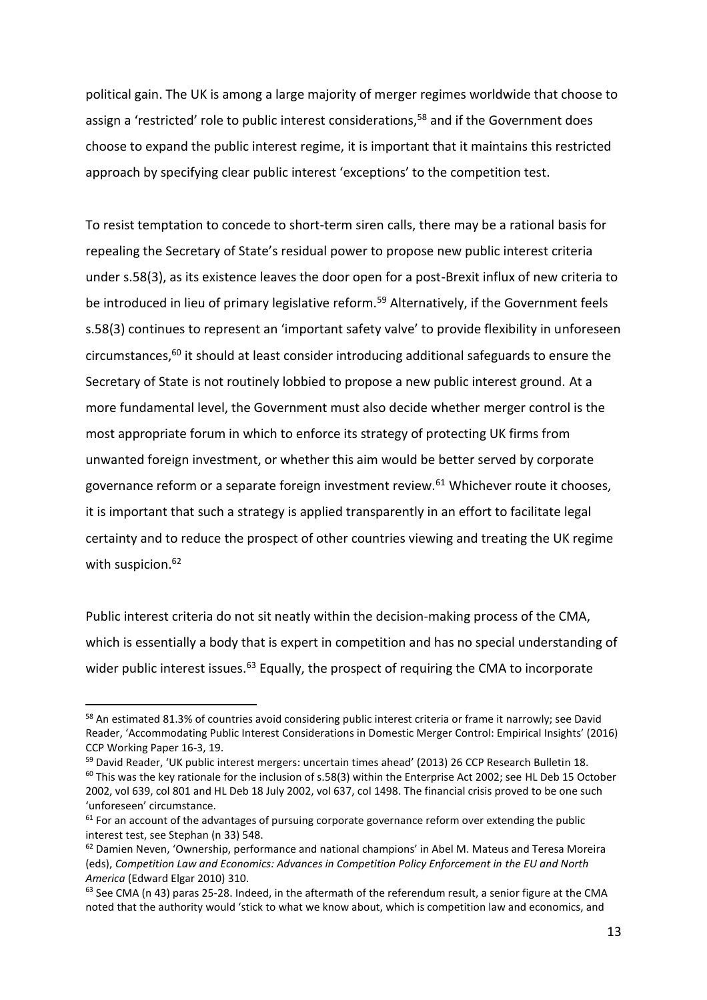political gain. The UK is among a large majority of merger regimes worldwide that choose to assign a 'restricted' role to public interest considerations,<sup>58</sup> and if the Government does choose to expand the public interest regime, it is important that it maintains this restricted approach by specifying clear public interest 'exceptions' to the competition test.

To resist temptation to concede to short-term siren calls, there may be a rational basis for repealing the Secretary of State's residual power to propose new public interest criteria under s.58(3), as its existence leaves the door open for a post-Brexit influx of new criteria to be introduced in lieu of primary legislative reform.<sup>59</sup> Alternatively, if the Government feels s.58(3) continues to represent an 'important safety valve' to provide flexibility in unforeseen circumstances, $60$  it should at least consider introducing additional safeguards to ensure the Secretary of State is not routinely lobbied to propose a new public interest ground. At a more fundamental level, the Government must also decide whether merger control is the most appropriate forum in which to enforce its strategy of protecting UK firms from unwanted foreign investment, or whether this aim would be better served by corporate governance reform or a separate foreign investment review.<sup>61</sup> Whichever route it chooses, it is important that such a strategy is applied transparently in an effort to facilitate legal certainty and to reduce the prospect of other countries viewing and treating the UK regime with suspicion.<sup>62</sup>

Public interest criteria do not sit neatly within the decision-making process of the CMA, which is essentially a body that is expert in competition and has no special understanding of wider public interest issues.<sup>63</sup> Equally, the prospect of requiring the CMA to incorporate

<sup>&</sup>lt;sup>58</sup> An estimated 81.3% of countries avoid considering public interest criteria or frame it narrowly; see David Reader, 'Accommodating Public Interest Considerations in Domestic Merger Control: Empirical Insights' (2016) CCP Working Paper 16-3, 19.

<sup>&</sup>lt;sup>59</sup> David Reader, 'UK public interest mergers: uncertain times ahead' (2013) 26 CCP Research Bulletin 18.  $60$  This was the key rationale for the inclusion of s.58(3) within the Enterprise Act 2002; see HL Deb 15 October 2002, vol 639, col 801 and HL Deb 18 July 2002, vol 637, col 1498. The financial crisis proved to be one such 'unforeseen' circumstance.

 $61$  For an account of the advantages of pursuing corporate governance reform over extending the public interest test, see Stephan ([n 33\)](#page-7-0) 548.

 $62$  Damien Neven, 'Ownership, performance and national champions' in Abel M. Mateus and Teresa Moreira (eds), *Competition Law and Economics: Advances in Competition Policy Enforcement in the EU and North America* (Edward Elgar 2010) 310.

 $63$  See CMA (n [43\)](#page-9-0) paras 25-28. Indeed, in the aftermath of the referendum result, a senior figure at the CMA noted that the authority would 'stick to what we know about, which is competition law and economics, and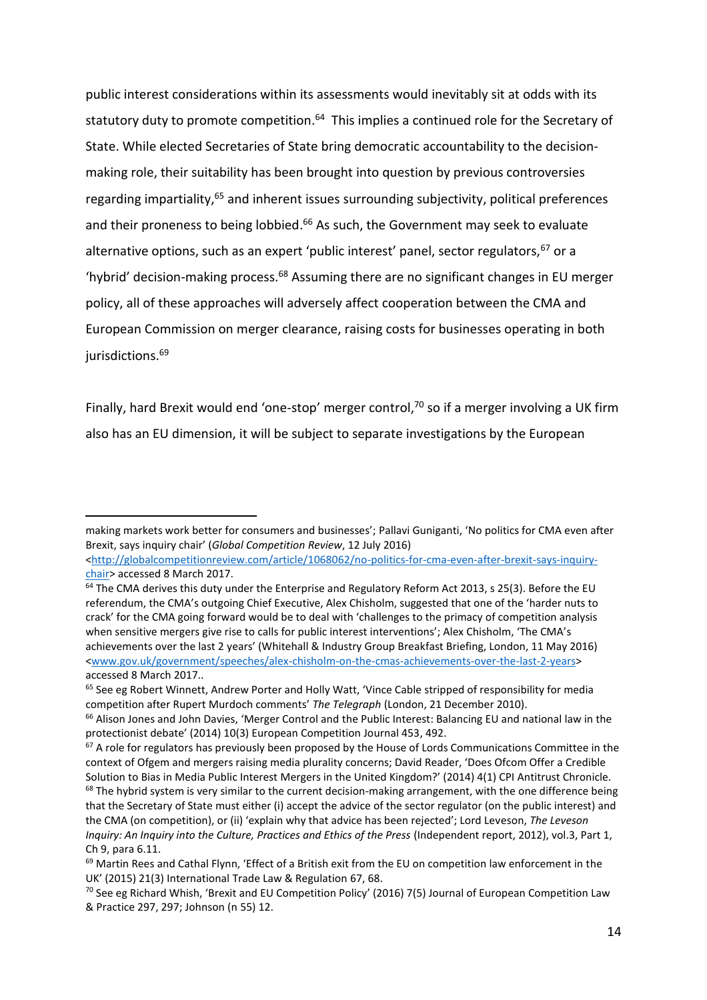public interest considerations within its assessments would inevitably sit at odds with its statutory duty to promote competition.<sup>64</sup> This implies a continued role for the Secretary of State. While elected Secretaries of State bring democratic accountability to the decisionmaking role, their suitability has been brought into question by previous controversies regarding impartiality,<sup>65</sup> and inherent issues surrounding subjectivity, political preferences and their proneness to being lobbied.<sup>66</sup> As such, the Government may seek to evaluate alternative options, such as an expert 'public interest' panel, sector regulators,<sup>67</sup> or a 'hybrid' decision-making process.<sup>68</sup> Assuming there are no significant changes in EU merger policy, all of these approaches will adversely affect cooperation between the CMA and European Commission on merger clearance, raising costs for businesses operating in both jurisdictions.<sup>69</sup>

<span id="page-13-0"></span>Finally, hard Brexit would end 'one-stop' merger control,<sup>70</sup> so if a merger involving a UK firm also has an EU dimension, it will be subject to separate investigations by the European

making markets work better for consumers and businesses'; Pallavi Guniganti, 'No politics for CMA even after Brexit, says inquiry chair' (*Global Competition Review*, 12 July 2016)

[<sup>&</sup>lt;http://globalcompetitionreview.com/article/1068062/no-politics-for-cma-even-after-brexit-says-inquiry](http://globalcompetitionreview.com/article/1068062/no-politics-for-cma-even-after-brexit-says-inquiry-chair)[chair>](http://globalcompetitionreview.com/article/1068062/no-politics-for-cma-even-after-brexit-says-inquiry-chair) accessed 8 March 2017.

<sup>&</sup>lt;sup>64</sup> The CMA derives this duty under the Enterprise and Regulatory Reform Act 2013, s 25(3). Before the EU referendum, the CMA's outgoing Chief Executive, Alex Chisholm, suggested that one of the 'harder nuts to crack' for the CMA going forward would be to deal with 'challenges to the primacy of competition analysis when sensitive mergers give rise to calls for public interest interventions'; Alex Chisholm, 'The CMA's achievements over the last 2 years' (Whitehall & Industry Group Breakfast Briefing, London, 11 May 2016) [<www.gov.uk/government/speeches/alex-chisholm-on-the-cmas-achievements-over-the-last-2-years>](http://www.gov.uk/government/speeches/alex-chisholm-on-the-cmas-achievements-over-the-last-2-years) accessed 8 March 2017..

<sup>&</sup>lt;sup>65</sup> See eg Robert Winnett, Andrew Porter and Holly Watt, 'Vince Cable stripped of responsibility for media competition after Rupert Murdoch comments' *The Telegraph* (London, 21 December 2010).

<sup>&</sup>lt;sup>66</sup> Alison Jones and John Davies, 'Merger Control and the Public Interest: Balancing EU and national law in the protectionist debate' (2014) 10(3) European Competition Journal 453, 492.

 $67$  A role for regulators has previously been proposed by the House of Lords Communications Committee in the context of Ofgem and mergers raising media plurality concerns; David Reader, 'Does Ofcom Offer a Credible Solution to Bias in Media Public Interest Mergers in the United Kingdom?' (2014) 4(1) CPI Antitrust Chronicle.  $68$  The hybrid system is very similar to the current decision-making arrangement, with the one difference being that the Secretary of State must either (i) accept the advice of the sector regulator (on the public interest) and the CMA (on competition), or (ii) 'explain why that advice has been rejected'; Lord Leveson, *The Leveson Inquiry: An Inquiry into the Culture, Practices and Ethics of the Press* (Independent report, 2012), vol.3, Part 1, Ch 9, para 6.11.

<sup>&</sup>lt;sup>69</sup> Martin Rees and Cathal Flynn, 'Effect of a British exit from the EU on competition law enforcement in the UK' (2015) 21(3) International Trade Law & Regulation 67, 68.

 $70$  See eg Richard Whish, 'Brexit and EU Competition Policy' (2016) 7(5) Journal of European Competition Law & Practice 297, 297; Johnson (n [55\)](#page-11-0) 12.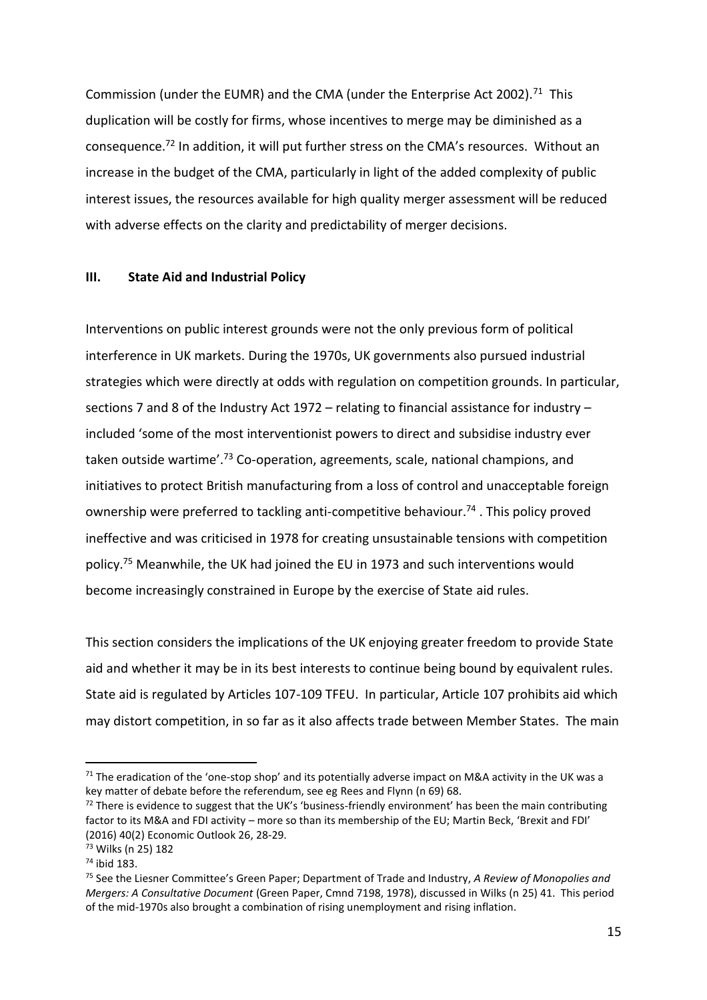Commission (under the EUMR) and the CMA (under the Enterprise Act 2002).<sup>71</sup> This duplication will be costly for firms, whose incentives to merge may be diminished as a consequence.<sup>72</sup> In addition, it will put further stress on the CMA's resources. Without an increase in the budget of the CMA, particularly in light of the added complexity of public interest issues, the resources available for high quality merger assessment will be reduced with adverse effects on the clarity and predictability of merger decisions.

## **III. State Aid and Industrial Policy**

Interventions on public interest grounds were not the only previous form of political interference in UK markets. During the 1970s, UK governments also pursued industrial strategies which were directly at odds with regulation on competition grounds. In particular, sections 7 and 8 of the Industry Act 1972 – relating to financial assistance for industry – included 'some of the most interventionist powers to direct and subsidise industry ever taken outside wartime<sup>'.73</sup> Co-operation, agreements, scale, national champions, and initiatives to protect British manufacturing from a loss of control and unacceptable foreign ownership were preferred to tackling anti-competitive behaviour.<sup>74</sup>. This policy proved ineffective and was criticised in 1978 for creating unsustainable tensions with competition policy.<sup>75</sup> Meanwhile, the UK had joined the EU in 1973 and such interventions would become increasingly constrained in Europe by the exercise of State aid rules.

This section considers the implications of the UK enjoying greater freedom to provide State aid and whether it may be in its best interests to continue being bound by equivalent rules. State aid is regulated by Articles 107-109 TFEU. In particular, Article 107 prohibits aid which may distort competition, in so far as it also affects trade between Member States. The main

 $71$  The eradication of the 'one-stop shop' and its potentially adverse impact on M&A activity in the UK was a key matter of debate before the referendum, see eg Rees and Flynn ([n 69\)](#page-13-0) 68.

 $72$  There is evidence to suggest that the UK's 'business-friendly environment' has been the main contributing factor to its M&A and FDI activity – more so than its membership of the EU; Martin Beck, 'Brexit and FDI' (2016) 40(2) Economic Outlook 26, 28-29.

<sup>73</sup> Wilks ([n 25\)](#page-6-0) 182

<sup>74</sup> ibid 183.

<sup>75</sup> See the Liesner Committee's Green Paper; Department of Trade and Industry, *A Review of Monopolies and Mergers: A Consultative Document* (Green Paper, Cmnd 7198, 1978), discussed in Wilks (n [25\)](#page-6-0) 41. This period of the mid-1970s also brought a combination of rising unemployment and rising inflation.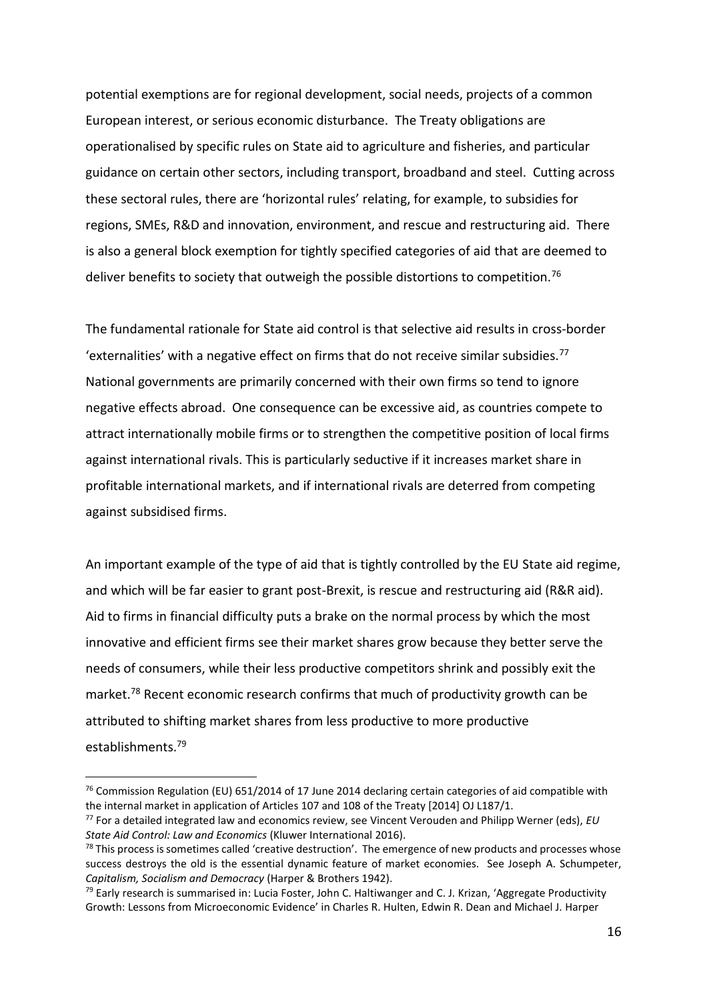potential exemptions are for regional development, social needs, projects of a common European interest, or serious economic disturbance. The Treaty obligations are operationalised by specific rules on State aid to agriculture and fisheries, and particular guidance on certain other sectors, including transport, broadband and steel. Cutting across these sectoral rules, there are 'horizontal rules' relating, for example, to subsidies for regions, SMEs, R&D and innovation, environment, and rescue and restructuring aid. There is also a general block exemption for tightly specified categories of aid that are deemed to deliver benefits to society that outweigh the possible distortions to competition.<sup>76</sup>

<span id="page-15-0"></span>The fundamental rationale for State aid control is that selective aid results in cross-border 'externalities' with a negative effect on firms that do not receive similar subsidies.<sup>77</sup> National governments are primarily concerned with their own firms so tend to ignore negative effects abroad. One consequence can be excessive aid, as countries compete to attract internationally mobile firms or to strengthen the competitive position of local firms against international rivals. This is particularly seductive if it increases market share in profitable international markets, and if international rivals are deterred from competing against subsidised firms.

An important example of the type of aid that is tightly controlled by the EU State aid regime, and which will be far easier to grant post-Brexit, is rescue and restructuring aid (R&R aid). Aid to firms in financial difficulty puts a brake on the normal process by which the most innovative and efficient firms see their market shares grow because they better serve the needs of consumers, while their less productive competitors shrink and possibly exit the market.<sup>78</sup> Recent economic research confirms that much of productivity growth can be attributed to shifting market shares from less productive to more productive establishments.<sup>79</sup>

<sup>&</sup>lt;sup>76</sup> Commission Regulation (EU) 651/2014 of 17 June 2014 declaring certain categories of aid compatible with the internal market in application of Articles 107 and 108 of the Treaty [2014] OJ L187/1.

<sup>77</sup> For a detailed integrated law and economics review, see Vincent Verouden and Philipp Werner (eds), *EU State Aid Control: Law and Economics* (Kluwer International 2016).

 $78$  This process is sometimes called 'creative destruction'. The emergence of new products and processes whose success destroys the old is the essential dynamic feature of market economies. See Joseph A. Schumpeter, *Capitalism, Socialism and Democracy* (Harper & Brothers 1942).

 $79$  Early research is summarised in: Lucia Foster, John C. Haltiwanger and C. J. Krizan, 'Aggregate Productivity Growth: Lessons from Microeconomic Evidence' in Charles R. Hulten, Edwin R. Dean and Michael J. Harper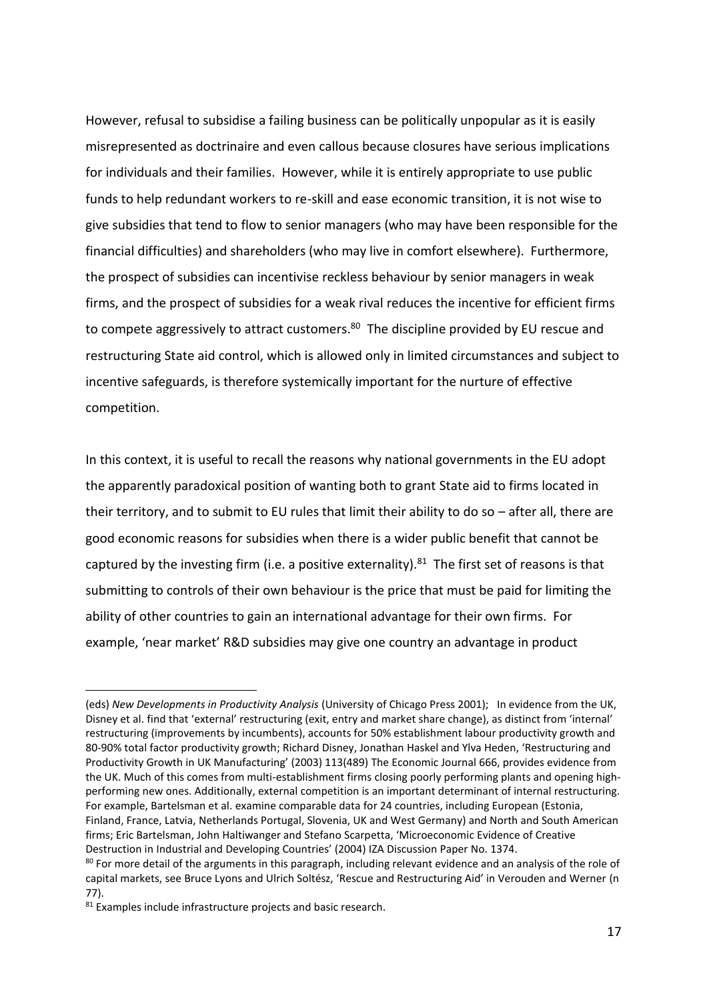However, refusal to subsidise a failing business can be politically unpopular as it is easily misrepresented as doctrinaire and even callous because closures have serious implications for individuals and their families. However, while it is entirely appropriate to use public funds to help redundant workers to re-skill and ease economic transition, it is not wise to give subsidies that tend to flow to senior managers (who may have been responsible for the financial difficulties) and shareholders (who may live in comfort elsewhere). Furthermore, the prospect of subsidies can incentivise reckless behaviour by senior managers in weak firms, and the prospect of subsidies for a weak rival reduces the incentive for efficient firms to compete aggressively to attract customers.<sup>80</sup> The discipline provided by EU rescue and restructuring State aid control, which is allowed only in limited circumstances and subject to incentive safeguards, is therefore systemically important for the nurture of effective competition.

In this context, it is useful to recall the reasons why national governments in the EU adopt the apparently paradoxical position of wanting both to grant State aid to firms located in their territory, and to submit to EU rules that limit their ability to do so – after all, there are good economic reasons for subsidies when there is a wider public benefit that cannot be captured by the investing firm (i.e. a positive externality). $^{81}$  The first set of reasons is that submitting to controls of their own behaviour is the price that must be paid for limiting the ability of other countries to gain an international advantage for their own firms. For example, 'near market' R&D subsidies may give one country an advantage in product

<sup>(</sup>eds) *New Developments in Productivity Analysis* (University of Chicago Press 2001); In evidence from the UK, Disney et al. find that 'external' restructuring (exit, entry and market share change), as distinct from 'internal' restructuring (improvements by incumbents), accounts for 50% establishment labour productivity growth and 80-90% total factor productivity growth; Richard Disney, Jonathan Haskel and Ylva Heden, 'Restructuring and Productivity Growth in UK Manufacturing' (2003) 113(489) The Economic Journal 666, provides evidence from the UK. Much of this comes from multi-establishment firms closing poorly performing plants and opening highperforming new ones. Additionally, external competition is an important determinant of internal restructuring. For example, Bartelsman et al. examine comparable data for 24 countries, including European (Estonia, Finland, France, Latvia, Netherlands Portugal, Slovenia, UK and West Germany) and North and South American firms; Eric Bartelsman, John Haltiwanger and Stefano Scarpetta, 'Microeconomic Evidence of Creative Destruction in Industrial and Developing Countries' (2004) IZA Discussion Paper No. 1374.

<sup>80</sup> For more detail of the arguments in this paragraph, including relevant evidence and an analysis of the role of capital markets, see Bruce Lyons and Ulrich Soltész, 'Rescue and Restructuring Aid' in Verouden and Werner (n [77\)](#page-15-0).

<sup>81</sup> Examples include infrastructure projects and basic research.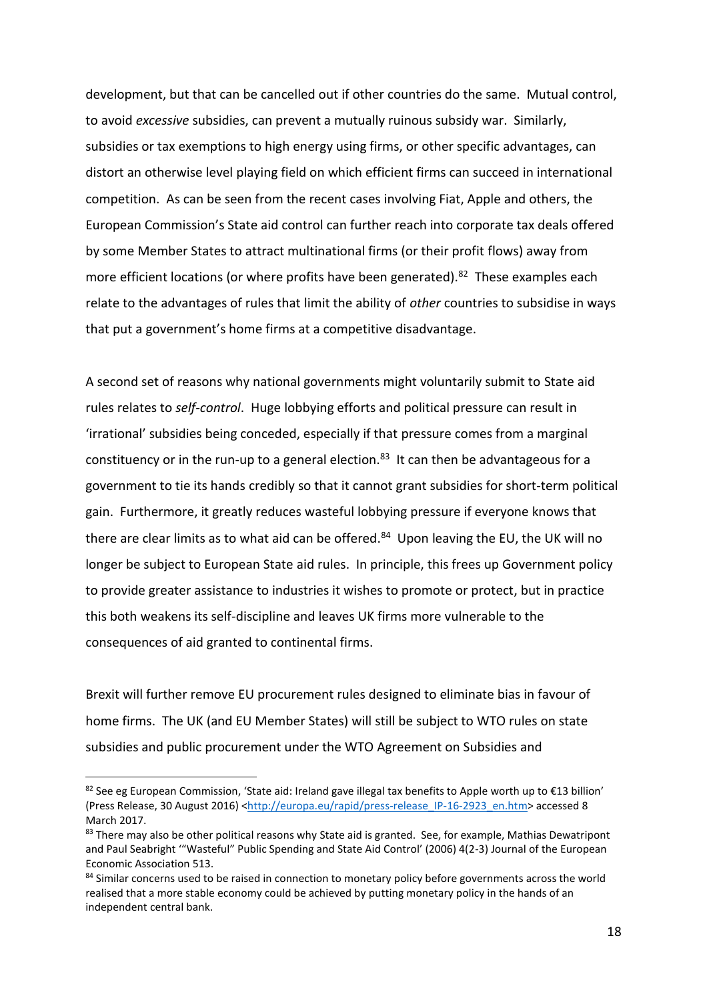development, but that can be cancelled out if other countries do the same. Mutual control, to avoid *excessive* subsidies, can prevent a mutually ruinous subsidy war. Similarly, subsidies or tax exemptions to high energy using firms, or other specific advantages, can distort an otherwise level playing field on which efficient firms can succeed in international competition. As can be seen from the recent cases involving Fiat, Apple and others, the European Commission's State aid control can further reach into corporate tax deals offered by some Member States to attract multinational firms (or their profit flows) away from more efficient locations (or where profits have been generated).<sup>82</sup> These examples each relate to the advantages of rules that limit the ability of *other* countries to subsidise in ways that put a government's home firms at a competitive disadvantage.

A second set of reasons why national governments might voluntarily submit to State aid rules relates to *self-control*. Huge lobbying efforts and political pressure can result in 'irrational' subsidies being conceded, especially if that pressure comes from a marginal constituency or in the run-up to a general election.<sup>83</sup> It can then be advantageous for a government to tie its hands credibly so that it cannot grant subsidies for short-term political gain. Furthermore, it greatly reduces wasteful lobbying pressure if everyone knows that there are clear limits as to what aid can be offered.<sup>84</sup> Upon leaving the EU, the UK will no longer be subject to European State aid rules. In principle, this frees up Government policy to provide greater assistance to industries it wishes to promote or protect, but in practice this both weakens its self-discipline and leaves UK firms more vulnerable to the consequences of aid granted to continental firms.

Brexit will further remove EU procurement rules designed to eliminate bias in favour of home firms. The UK (and EU Member States) will still be subject to WTO rules on state subsidies and public procurement under the WTO Agreement on Subsidies and

<sup>&</sup>lt;sup>82</sup> See eg European Commission, 'State aid: Ireland gave illegal tax benefits to Apple worth up to €13 billion' (Press Release, 30 August 2016) [<http://europa.eu/rapid/press-release\\_IP-16-2923\\_en.htm>](http://europa.eu/rapid/press-release_IP-16-2923_en.htm) accessed 8 March 2017.

<sup>&</sup>lt;sup>83</sup> There may also be other political reasons why State aid is granted. See, for example, Mathias Dewatripont and Paul Seabright '"Wasteful" Public Spending and State Aid Control' (2006) 4(2-3) Journal of the European Economic Association 513.

<sup>&</sup>lt;sup>84</sup> Similar concerns used to be raised in connection to monetary policy before governments across the world realised that a more stable economy could be achieved by putting monetary policy in the hands of an independent central bank.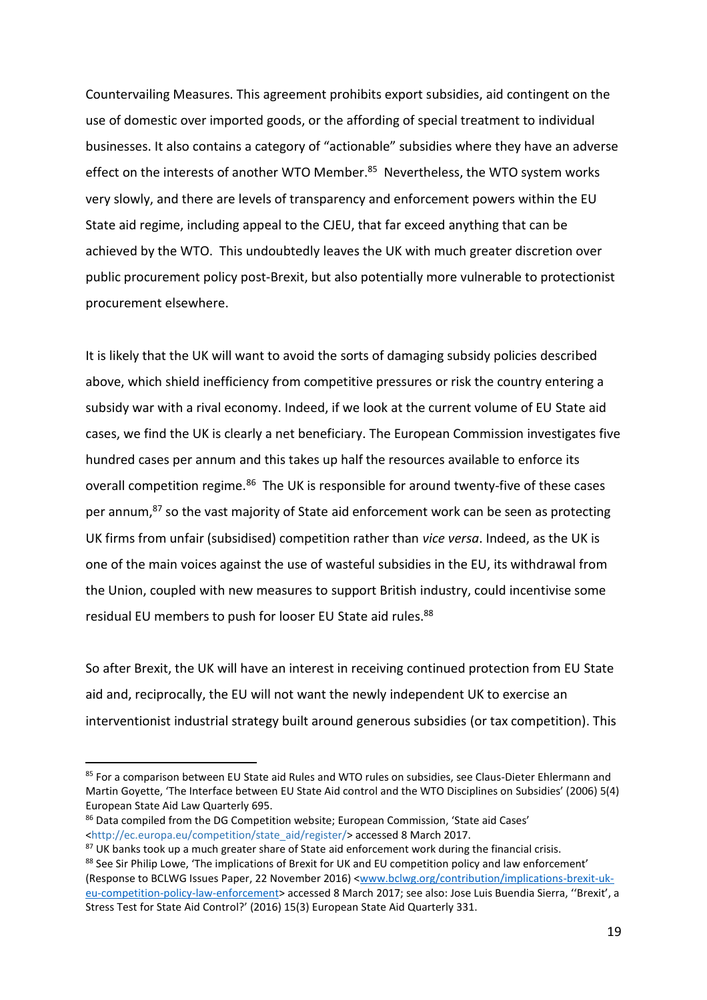Countervailing Measures. This agreement prohibits export subsidies, aid contingent on the use of domestic over imported goods, or the affording of special treatment to individual businesses. It also contains a category of "actionable" subsidies where they have an adverse effect on the interests of another WTO Member.<sup>85</sup> Nevertheless, the WTO system works very slowly, and there are levels of transparency and enforcement powers within the EU State aid regime, including appeal to the CJEU, that far exceed anything that can be achieved by the WTO. This undoubtedly leaves the UK with much greater discretion over public procurement policy post-Brexit, but also potentially more vulnerable to protectionist procurement elsewhere.

It is likely that the UK will want to avoid the sorts of damaging subsidy policies described above, which shield inefficiency from competitive pressures or risk the country entering a subsidy war with a rival economy. Indeed, if we look at the current volume of EU State aid cases, we find the UK is clearly a net beneficiary. The European Commission investigates five hundred cases per annum and this takes up half the resources available to enforce its overall competition regime.<sup>86</sup> The UK is responsible for around twenty-five of these cases per annum,<sup>87</sup> so the vast majority of State aid enforcement work can be seen as protecting UK firms from unfair (subsidised) competition rather than *vice versa*. Indeed, as the UK is one of the main voices against the use of wasteful subsidies in the EU, its withdrawal from the Union, coupled with new measures to support British industry, could incentivise some residual EU members to push for looser EU State aid rules.<sup>88</sup>

<span id="page-18-0"></span>So after Brexit, the UK will have an interest in receiving continued protection from EU State aid and, reciprocally, the EU will not want the newly independent UK to exercise an interventionist industrial strategy built around generous subsidies (or tax competition). This

<sup>85</sup> For a comparison between EU State aid Rules and WTO rules on subsidies, see Claus-Dieter Ehlermann and Martin Goyette, 'The Interface between EU State Aid control and the WTO Disciplines on Subsidies' (2006) 5(4) European State Aid Law Quarterly 695.

<sup>&</sup>lt;sup>86</sup> Data compiled from the DG Competition website; European Commission, 'State aid Cases' <http://ec.europa.eu/competition/state\_aid/register/> accessed 8 March 2017.

<sup>&</sup>lt;sup>87</sup> UK banks took up a much greater share of State aid enforcement work during the financial crisis.

<sup>88</sup> See Sir Philip Lowe, 'The implications of Brexit for UK and EU competition policy and law enforcement' (Response to BCLWG Issues Paper, 22 November 2016) [<www.bclwg.org/contribution/implications-brexit-uk](file:///G:/Brexit%20Paper/www.bclwg.org/contribution/implications-brexit-uk-eu-competition-policy-law-enforcement)[eu-competition-policy-law-enforcement>](file:///G:/Brexit%20Paper/www.bclwg.org/contribution/implications-brexit-uk-eu-competition-policy-law-enforcement) accessed 8 March 2017; see also: Jose Luis Buendia Sierra, ''Brexit', a Stress Test for State Aid Control?' (2016) 15(3) European State Aid Quarterly 331.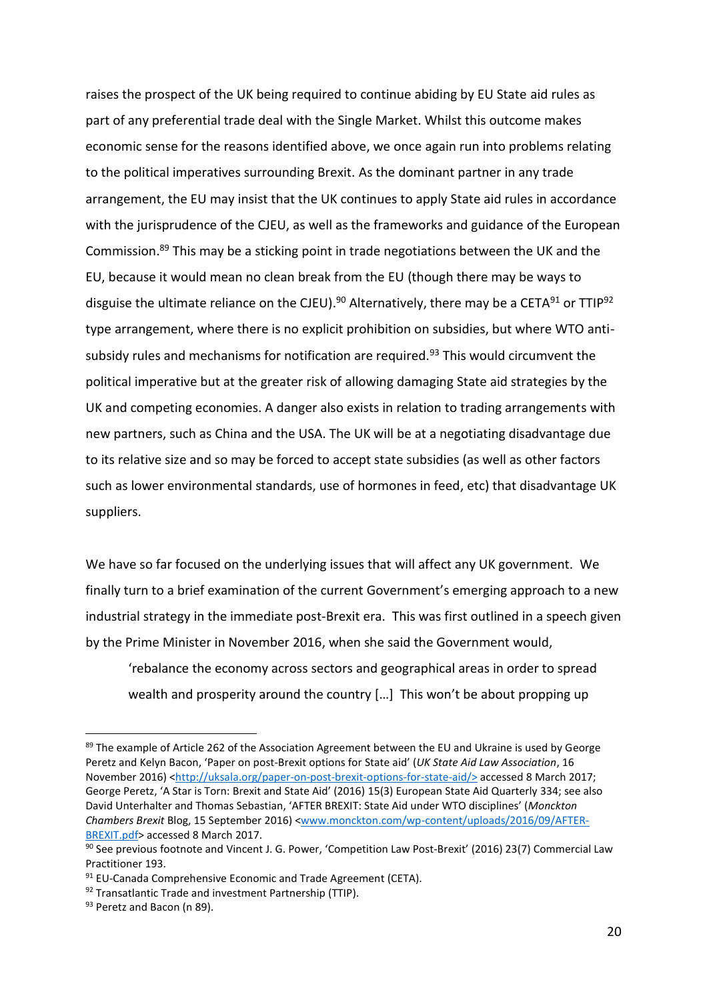<span id="page-19-0"></span>raises the prospect of the UK being required to continue abiding by EU State aid rules as part of any preferential trade deal with the Single Market. Whilst this outcome makes economic sense for the reasons identified above, we once again run into problems relating to the political imperatives surrounding Brexit. As the dominant partner in any trade arrangement, the EU may insist that the UK continues to apply State aid rules in accordance with the jurisprudence of the CJEU, as well as the frameworks and guidance of the European Commission.<sup>89</sup> This may be a sticking point in trade negotiations between the UK and the EU, because it would mean no clean break from the EU (though there may be ways to disguise the ultimate reliance on the CJEU).<sup>90</sup> Alternatively, there may be a CETA<sup>91</sup> or TTIP<sup>92</sup> type arrangement, where there is no explicit prohibition on subsidies, but where WTO antisubsidy rules and mechanisms for notification are required.<sup>93</sup> This would circumvent the political imperative but at the greater risk of allowing damaging State aid strategies by the UK and competing economies. A danger also exists in relation to trading arrangements with new partners, such as China and the USA. The UK will be at a negotiating disadvantage due to its relative size and so may be forced to accept state subsidies (as well as other factors such as lower environmental standards, use of hormones in feed, etc) that disadvantage UK suppliers.

We have so far focused on the underlying issues that will affect any UK government. We finally turn to a brief examination of the current Government's emerging approach to a new industrial strategy in the immediate post-Brexit era. This was first outlined in a speech given by the Prime Minister in November 2016, when she said the Government would,

'rebalance the economy across sectors and geographical areas in order to spread wealth and prosperity around the country […] This won't be about propping up

<sup>&</sup>lt;sup>89</sup> The example of Article 262 of the Association Agreement between the EU and Ukraine is used by George Peretz and Kelyn Bacon, 'Paper on post-Brexit options for State aid' (*UK State Aid Law Association*, 16 November 2016) [<http://uksala.org/paper-on-post-brexit-options-for-state-aid/>](http://uksala.org/paper-on-post-brexit-options-for-state-aid/) accessed 8 March 2017; George Peretz, 'A Star is Torn: Brexit and State Aid' (2016) 15(3) European State Aid Quarterly 334; see also David Unterhalter and Thomas Sebastian, 'AFTER BREXIT: State Aid under WTO disciplines' (*Monckton Chambers Brexit* Blog, 15 September 2016) [<www.monckton.com/wp-content/uploads/2016/09/AFTER-](file:///G:/Brexit%20Paper/www.monckton.com/wp-content/uploads/2016/09/AFTER-BREXIT.pdf)[BREXIT.pdf>](file:///G:/Brexit%20Paper/www.monckton.com/wp-content/uploads/2016/09/AFTER-BREXIT.pdf) accessed 8 March 2017.

<sup>90</sup> See previous footnote and Vincent J. G. Power, 'Competition Law Post-Brexit' (2016) 23(7) Commercial Law Practitioner 193.

<sup>&</sup>lt;sup>91</sup> EU-Canada Comprehensive Economic and Trade Agreement (CETA).

<sup>92</sup> Transatlantic Trade and investment Partnership (TTIP).

<sup>93</sup> Peretz and Bacon (n [89\)](#page-19-0).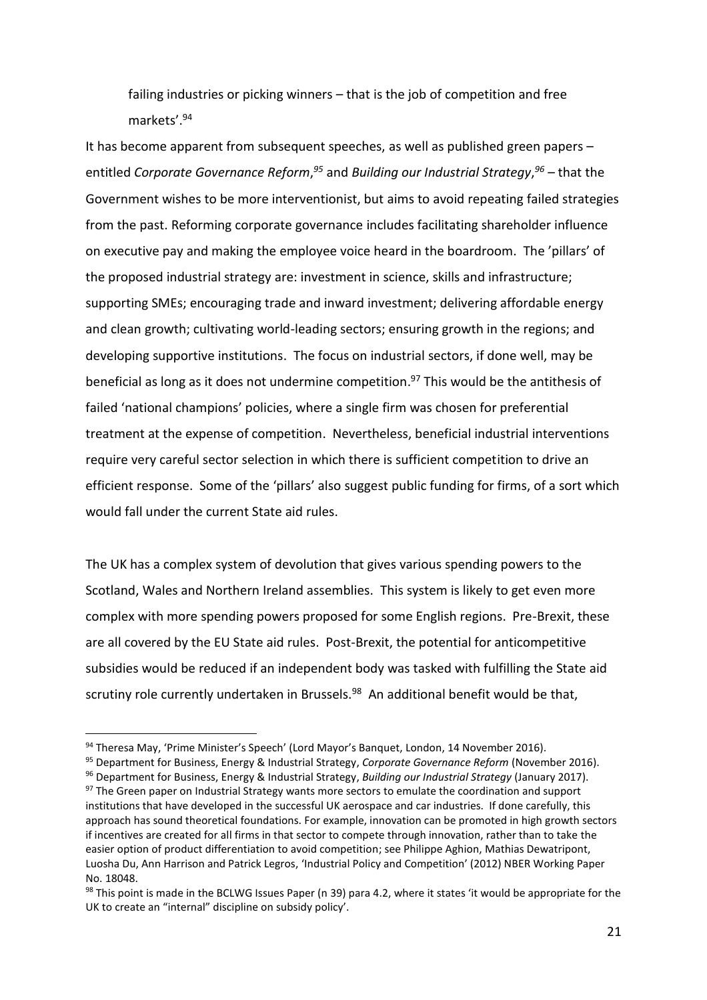failing industries or picking winners – that is the job of competition and free markets'. 94

It has become apparent from subsequent speeches, as well as published green papers – entitled *Corporate Governance Reform,<sup>95</sup> and Building our Industrial Strategy,<sup>96</sup> – that the* Government wishes to be more interventionist, but aims to avoid repeating failed strategies from the past. Reforming corporate governance includes facilitating shareholder influence on executive pay and making the employee voice heard in the boardroom. The 'pillars' of the proposed industrial strategy are: investment in science, skills and infrastructure; supporting SMEs; encouraging trade and inward investment; delivering affordable energy and clean growth; cultivating world-leading sectors; ensuring growth in the regions; and developing supportive institutions. The focus on industrial sectors, if done well, may be beneficial as long as it does not undermine competition. <sup>97</sup> This would be the antithesis of failed 'national champions' policies, where a single firm was chosen for preferential treatment at the expense of competition. Nevertheless, beneficial industrial interventions require very careful sector selection in which there is sufficient competition to drive an efficient response. Some of the 'pillars' also suggest public funding for firms, of a sort which would fall under the current State aid rules.

The UK has a complex system of devolution that gives various spending powers to the Scotland, Wales and Northern Ireland assemblies. This system is likely to get even more complex with more spending powers proposed for some English regions. Pre-Brexit, these are all covered by the EU State aid rules. Post-Brexit, the potential for anticompetitive subsidies would be reduced if an independent body was tasked with fulfilling the State aid scrutiny role currently undertaken in Brussels.<sup>98</sup> An additional benefit would be that,

<sup>94</sup> Theresa May, 'Prime Minister's Speech' (Lord Mayor's Banquet, London, 14 November 2016).

<sup>95</sup> Department for Business, Energy & Industrial Strategy, *Corporate Governance Reform* (November 2016).

<sup>96</sup> Department for Business, Energy & Industrial Strategy, *Building our Industrial Strategy* (January 2017).

<sup>&</sup>lt;sup>97</sup> The Green paper on Industrial Strategy wants more sectors to emulate the coordination and support institutions that have developed in the successful UK aerospace and car industries. If done carefully, this approach has sound theoretical foundations. For example, innovation can be promoted in high growth sectors if incentives are created for all firms in that sector to compete through innovation, rather than to take the easier option of product differentiation to avoid competition; see Philippe Aghion, Mathias Dewatripont, Luosha Du, Ann Harrison and Patrick Legros, 'Industrial Policy and Competition' (2012) NBER Working Paper No. 18048.

<sup>98</sup> This point is made in the BCLWG Issues Paper (n [39\)](#page-8-0) para 4.2, where it states 'it would be appropriate for the UK to create an "internal" discipline on subsidy policy'.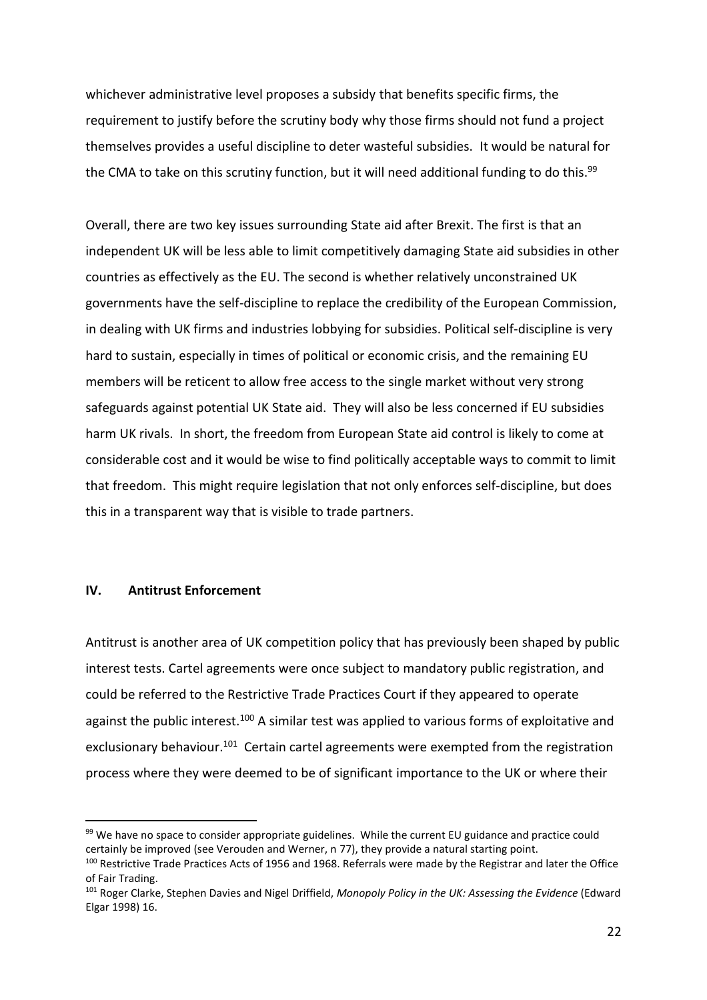whichever administrative level proposes a subsidy that benefits specific firms, the requirement to justify before the scrutiny body why those firms should not fund a project themselves provides a useful discipline to deter wasteful subsidies. It would be natural for the CMA to take on this scrutiny function, but it will need additional funding to do this.<sup>99</sup>

Overall, there are two key issues surrounding State aid after Brexit. The first is that an independent UK will be less able to limit competitively damaging State aid subsidies in other countries as effectively as the EU. The second is whether relatively unconstrained UK governments have the self-discipline to replace the credibility of the European Commission, in dealing with UK firms and industries lobbying for subsidies. Political self-discipline is very hard to sustain, especially in times of political or economic crisis, and the remaining EU members will be reticent to allow free access to the single market without very strong safeguards against potential UK State aid. They will also be less concerned if EU subsidies harm UK rivals. In short, the freedom from European State aid control is likely to come at considerable cost and it would be wise to find politically acceptable ways to commit to limit that freedom. This might require legislation that not only enforces self-discipline, but does this in a transparent way that is visible to trade partners.

## **IV. Antitrust Enforcement**

 $\overline{a}$ 

Antitrust is another area of UK competition policy that has previously been shaped by public interest tests. Cartel agreements were once subject to mandatory public registration, and could be referred to the Restrictive Trade Practices Court if they appeared to operate against the public interest.<sup>100</sup> A similar test was applied to various forms of exploitative and exclusionary behaviour.<sup>101</sup> Certain cartel agreements were exempted from the registration process where they were deemed to be of significant importance to the UK or where their

<sup>99</sup> We have no space to consider appropriate guidelines. While the current EU guidance and practice could certainly be improved (see Verouden and Werner, [n 77\)](#page-15-0), they provide a natural starting point.

<sup>100</sup> Restrictive Trade Practices Acts of 1956 and 1968. Referrals were made by the Registrar and later the Office of Fair Trading.

<sup>101</sup> Roger Clarke, Stephen Davies and Nigel Driffield, *Monopoly Policy in the UK: Assessing the Evidence* (Edward Elgar 1998) 16.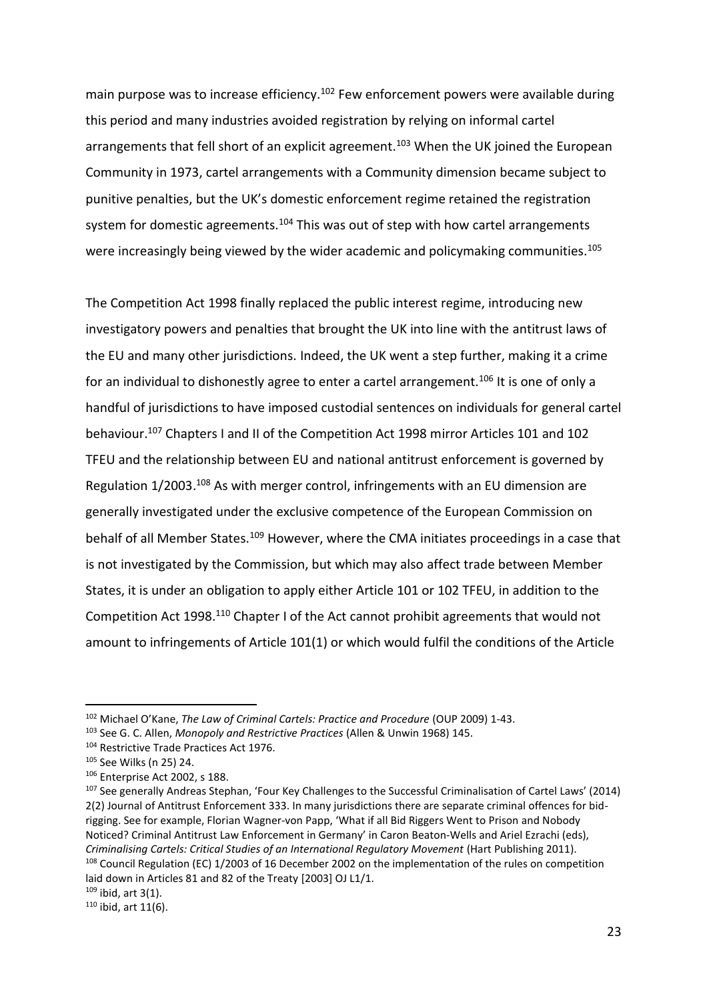<span id="page-22-0"></span>main purpose was to increase efficiency.<sup>102</sup> Few enforcement powers were available during this period and many industries avoided registration by relying on informal cartel arrangements that fell short of an explicit agreement.<sup>103</sup> When the UK joined the European Community in 1973, cartel arrangements with a Community dimension became subject to punitive penalties, but the UK's domestic enforcement regime retained the registration system for domestic agreements.<sup>104</sup> This was out of step with how cartel arrangements were increasingly being viewed by the wider academic and policymaking communities.<sup>105</sup>

The Competition Act 1998 finally replaced the public interest regime, introducing new investigatory powers and penalties that brought the UK into line with the antitrust laws of the EU and many other jurisdictions. Indeed, the UK went a step further, making it a crime for an individual to dishonestly agree to enter a cartel arrangement.<sup>106</sup> It is one of only a handful of jurisdictions to have imposed custodial sentences on individuals for general cartel behaviour. <sup>107</sup> Chapters I and II of the Competition Act 1998 mirror Articles 101 and 102 TFEU and the relationship between EU and national antitrust enforcement is governed by Regulation 1/2003.<sup>108</sup> As with merger control, infringements with an EU dimension are generally investigated under the exclusive competence of the European Commission on behalf of all Member States.<sup>109</sup> However, where the CMA initiates proceedings in a case that is not investigated by the Commission, but which may also affect trade between Member States, it is under an obligation to apply either Article 101 or 102 TFEU, in addition to the Competition Act 1998.<sup>110</sup> Chapter I of the Act cannot prohibit agreements that would not amount to infringements of Article 101(1) or which would fulfil the conditions of the Article

l

laid down in Articles 81 and 82 of the Treaty [2003] OJ L1/1.

<sup>&</sup>lt;sup>102</sup> Michael O'Kane, *The Law of Criminal Cartels: Practice and Procedure* (OUP 2009) 1-43.

<sup>103</sup> See G. C. Allen, *Monopoly and Restrictive Practices* (Allen & Unwin 1968) 145.

<sup>104</sup> Restrictive Trade Practices Act 1976.

<sup>105</sup> See Wilks ([n 25\)](#page-6-0) 24.

<sup>106</sup> Enterprise Act 2002, s 188.

<sup>107</sup> See generally Andreas Stephan, 'Four Key Challenges to the Successful Criminalisation of Cartel Laws' (2014) 2(2) Journal of Antitrust Enforcement 333. In many jurisdictions there are separate criminal offences for bidrigging. See for example, Florian Wagner-von Papp, 'What if all Bid Riggers Went to Prison and Nobody Noticed? Criminal Antitrust Law Enforcement in Germany' in Caron Beaton-Wells and Ariel Ezrachi (eds), *Criminalising Cartels: Critical Studies of an International Regulatory Movement* (Hart Publishing 2011). <sup>108</sup> Council Regulation (EC) 1/2003 of 16 December 2002 on the implementation of the rules on competition

 $109$  ibid, art 3(1).

 $110$  ibid, art 11(6).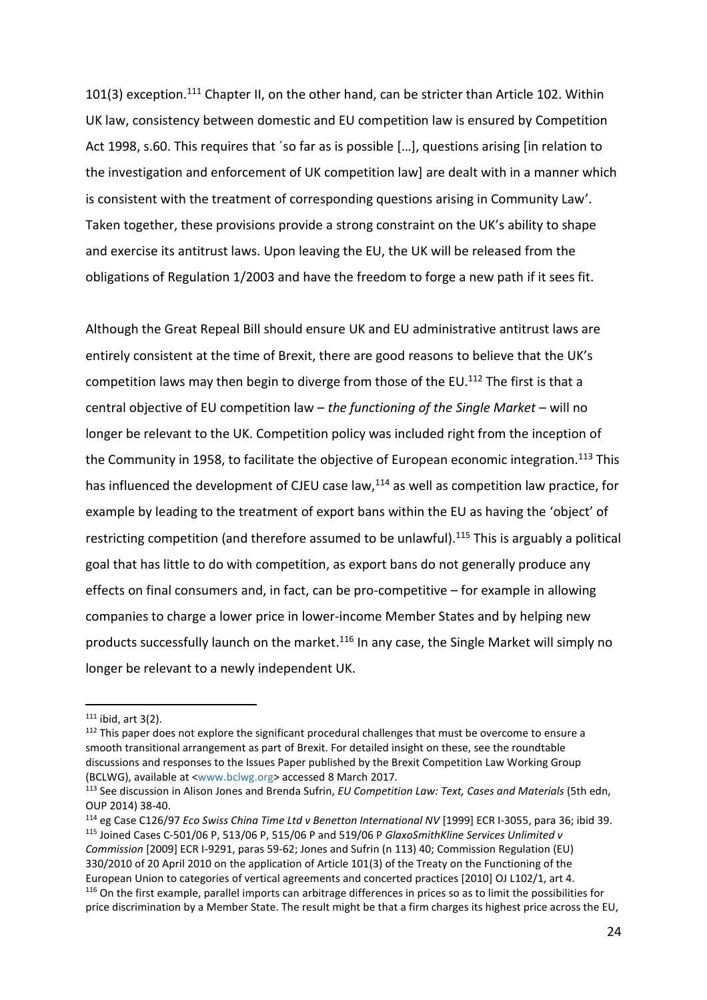101(3) exception.<sup>111</sup> Chapter II, on the other hand, can be stricter than Article 102. Within UK law, consistency between domestic and EU competition law is ensured by Competition Act 1998, s.60. This requires that ˊso far as is possible […], questions arising [in relation to the investigation and enforcement of UK competition law] are dealt with in a manner which is consistent with the treatment of corresponding questions arising in Community Law'. Taken together, these provisions provide a strong constraint on the UK's ability to shape and exercise its antitrust laws. Upon leaving the EU, the UK will be released from the obligations of Regulation 1/2003 and have the freedom to forge a new path if it sees fit.

<span id="page-23-0"></span>Although the Great Repeal Bill should ensure UK and EU administrative antitrust laws are entirely consistent at the time of Brexit, there are good reasons to believe that the UK's competition laws may then begin to diverge from those of the EU.<sup>112</sup> The first is that a central objective of EU competition law – *the functioning of the Single Market* – will no longer be relevant to the UK. Competition policy was included right from the inception of the Community in 1958, to facilitate the objective of European economic integration.<sup>113</sup> This has influenced the development of CJEU case law,<sup>114</sup> as well as competition law practice, for example by leading to the treatment of export bans within the EU as having the 'object' of restricting competition (and therefore assumed to be unlawful).<sup>115</sup> This is arguably a political goal that has little to do with competition, as export bans do not generally produce any effects on final consumers and, in fact, can be pro-competitive – for example in allowing companies to charge a lower price in lower-income Member States and by helping new products successfully launch on the market.<sup>116</sup> In any case, the Single Market will simply no longer be relevant to a newly independent UK.

 $111$  ibid, art 3(2).

<sup>&</sup>lt;sup>112</sup> This paper does not explore the significant procedural challenges that must be overcome to ensure a smooth transitional arrangement as part of Brexit. For detailed insight on these, see the roundtable discussions and responses to the Issues Paper published by the Brexit Competition Law Working Group (BCLWG), available at <www.bclwg.org> accessed 8 March 2017.

<sup>113</sup> See discussion in Alison Jones and Brenda Sufrin, *EU Competition Law: Text, Cases and Materials* (5th edn, OUP 2014) 38-40.

<sup>114</sup> eg Case C126/97 *Eco Swiss China Time Ltd v Benetton International NV* [1999] ECR I-3055, para 36; ibid 39. <sup>115</sup> Joined Cases C-501/06 P, 513/06 P, 515/06 P and 519/06 P *GlaxoSmithKline Services Unlimited v Commission* [2009] ECR I-9291, paras 59-62; Jones and Sufrin (n [113\)](#page-23-0) 40; Commission Regulation (EU) 330/2010 of 20 April 2010 on the application of Article 101(3) of the Treaty on the Functioning of the European Union to categories of vertical agreements and concerted practices [2010] OJ L102/1, art 4. <sup>116</sup> On the first example, parallel imports can arbitrage differences in prices so as to limit the possibilities for

price discrimination by a Member State. The result might be that a firm charges its highest price across the EU,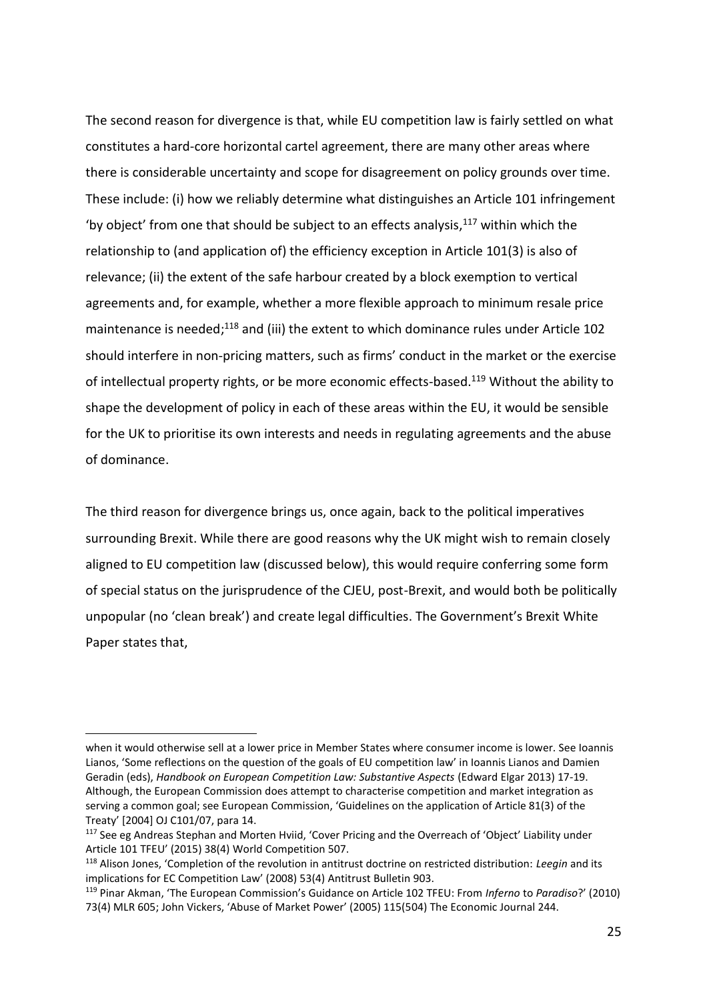The second reason for divergence is that, while EU competition law is fairly settled on what constitutes a hard-core horizontal cartel agreement, there are many other areas where there is considerable uncertainty and scope for disagreement on policy grounds over time. These include: (i) how we reliably determine what distinguishes an Article 101 infringement 'by object' from one that should be subject to an effects analysis,<sup>117</sup> within which the relationship to (and application of) the efficiency exception in Article 101(3) is also of relevance; (ii) the extent of the safe harbour created by a block exemption to vertical agreements and, for example, whether a more flexible approach to minimum resale price maintenance is needed;<sup>118</sup> and (iii) the extent to which dominance rules under Article 102 should interfere in non-pricing matters, such as firms' conduct in the market or the exercise of intellectual property rights, or be more economic effects-based.<sup>119</sup> Without the ability to shape the development of policy in each of these areas within the EU, it would be sensible for the UK to prioritise its own interests and needs in regulating agreements and the abuse of dominance.

The third reason for divergence brings us, once again, back to the political imperatives surrounding Brexit. While there are good reasons why the UK might wish to remain closely aligned to EU competition law (discussed below), this would require conferring some form of special status on the jurisprudence of the CJEU, post-Brexit, and would both be politically unpopular (no 'clean break') and create legal difficulties. The Government's Brexit White Paper states that,

when it would otherwise sell at a lower price in Member States where consumer income is lower. See Ioannis Lianos, 'Some reflections on the question of the goals of EU competition law' in Ioannis Lianos and Damien Geradin (eds), *Handbook on European Competition Law: Substantive Aspects* (Edward Elgar 2013) 17-19. Although, the European Commission does attempt to characterise competition and market integration as serving a common goal; see European Commission, 'Guidelines on the application of Article 81(3) of the Treaty' [2004] OJ C101/07, para 14.

<sup>117</sup> See eg Andreas Stephan and Morten Hviid, 'Cover Pricing and the Overreach of 'Object' Liability under Article 101 TFEU' (2015) 38(4) World Competition 507.

<sup>118</sup> Alison Jones, 'Completion of the revolution in antitrust doctrine on restricted distribution: *Leegin* and its implications for EC Competition Law' (2008) 53(4) Antitrust Bulletin 903.

<sup>119</sup> Pinar Akman, 'The European Commission's Guidance on Article 102 TFEU: From *Inferno* to *Paradiso*?' (2010) 73(4) MLR 605; John Vickers, 'Abuse of Market Power' (2005) 115(504) The Economic Journal 244.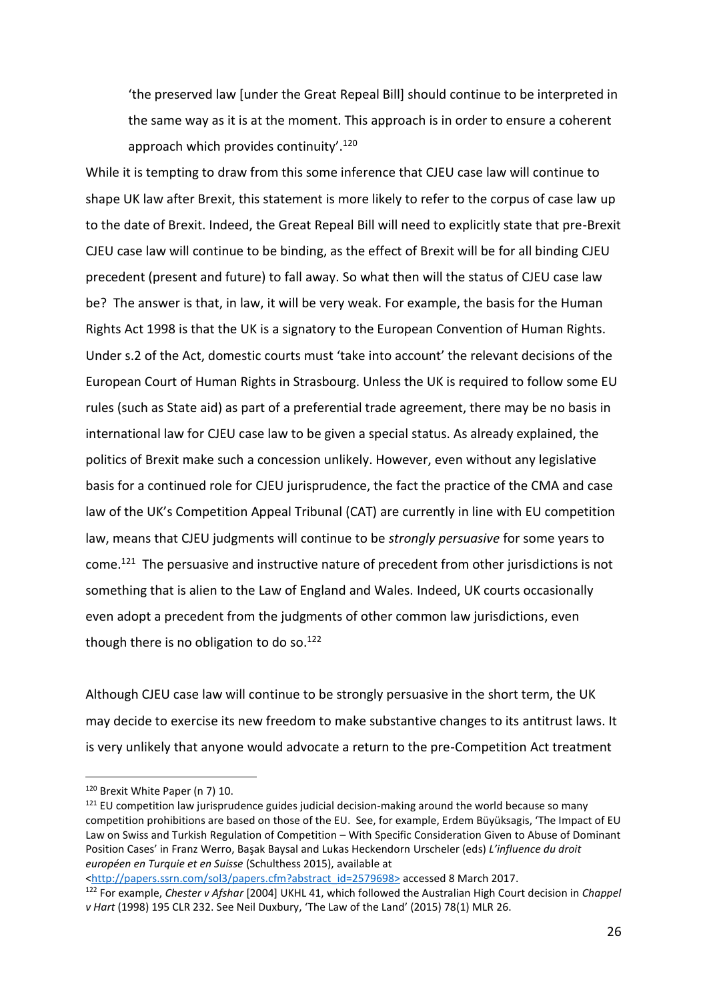'the preserved law [under the Great Repeal Bill] should continue to be interpreted in the same way as it is at the moment. This approach is in order to ensure a coherent approach which provides continuity'. 120

While it is tempting to draw from this some inference that CJEU case law will continue to shape UK law after Brexit, this statement is more likely to refer to the corpus of case law up to the date of Brexit. Indeed, the Great Repeal Bill will need to explicitly state that pre-Brexit CJEU case law will continue to be binding, as the effect of Brexit will be for all binding CJEU precedent (present and future) to fall away. So what then will the status of CJEU case law be? The answer is that, in law, it will be very weak. For example, the basis for the Human Rights Act 1998 is that the UK is a signatory to the European Convention of Human Rights. Under s.2 of the Act, domestic courts must 'take into account' the relevant decisions of the European Court of Human Rights in Strasbourg. Unless the UK is required to follow some EU rules (such as State aid) as part of a preferential trade agreement, there may be no basis in international law for CJEU case law to be given a special status. As already explained, the politics of Brexit make such a concession unlikely. However, even without any legislative basis for a continued role for CJEU jurisprudence, the fact the practice of the CMA and case law of the UK's Competition Appeal Tribunal (CAT) are currently in line with EU competition law, means that CJEU judgments will continue to be *strongly persuasive* for some years to come.<sup>121</sup> The persuasive and instructive nature of precedent from other jurisdictions is not something that is alien to the Law of England and Wales. Indeed, UK courts occasionally even adopt a precedent from the judgments of other common law jurisdictions, even though there is no obligation to do so. 122

Although CJEU case law will continue to be strongly persuasive in the short term, the UK may decide to exercise its new freedom to make substantive changes to its antitrust laws. It is very unlikely that anyone would advocate a return to the pre-Competition Act treatment

 $\overline{a}$ 

[<http://papers.ssrn.com/sol3/papers.cfm?abstract\\_id=2579698>](http://papers.ssrn.com/sol3/papers.cfm?abstract_id=2579698) accessed 8 March 2017.

<sup>120</sup> Brexit White Paper (n [7\)](#page-2-0) 10.

<sup>&</sup>lt;sup>121</sup> EU competition law jurisprudence guides judicial decision-making around the world because so many competition prohibitions are based on those of the EU. See, for example, Erdem Büyüksagis, 'The Impact of EU Law on Swiss and Turkish Regulation of Competition – With Specific Consideration Given to Abuse of Dominant Position Cases' in Franz Werro, Başak Baysal and Lukas Heckendorn Urscheler (eds) *L'influence du droit européen en Turquie et en Suisse* (Schulthess 2015), available at

<sup>122</sup> For example, *Chester v Afshar* [2004] UKHL 41, which followed the Australian High Court decision in *Chappel v Hart* (1998) 195 CLR 232. See Neil Duxbury, 'The Law of the Land' (2015) 78(1) MLR 26.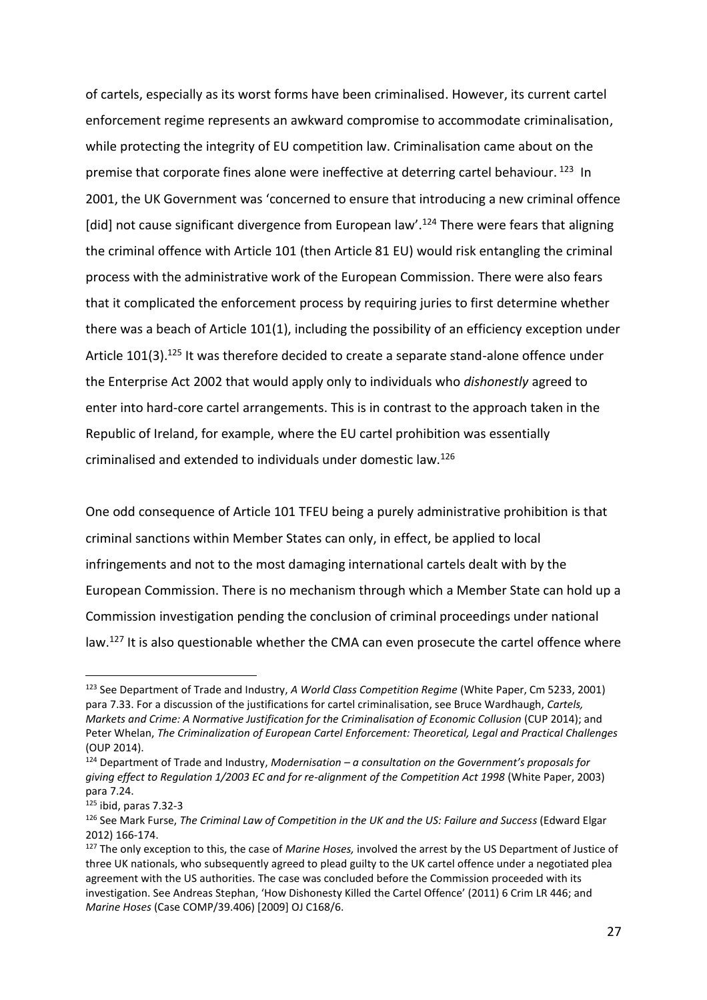<span id="page-26-0"></span>of cartels, especially as its worst forms have been criminalised. However, its current cartel enforcement regime represents an awkward compromise to accommodate criminalisation, while protecting the integrity of EU competition law. Criminalisation came about on the premise that corporate fines alone were ineffective at deterring cartel behaviour.<sup>123</sup> In 2001, the UK Government was 'concerned to ensure that introducing a new criminal offence [did] not cause significant divergence from European law'.<sup>124</sup> There were fears that aligning the criminal offence with Article 101 (then Article 81 EU) would risk entangling the criminal process with the administrative work of the European Commission. There were also fears that it complicated the enforcement process by requiring juries to first determine whether there was a beach of Article 101(1), including the possibility of an efficiency exception under Article 101(3).<sup>125</sup> It was therefore decided to create a separate stand-alone offence under the Enterprise Act 2002 that would apply only to individuals who *dishonestly* agreed to enter into hard-core cartel arrangements. This is in contrast to the approach taken in the Republic of Ireland, for example, where the EU cartel prohibition was essentially criminalised and extended to individuals under domestic law.<sup>126</sup>

One odd consequence of Article 101 TFEU being a purely administrative prohibition is that criminal sanctions within Member States can only, in effect, be applied to local infringements and not to the most damaging international cartels dealt with by the European Commission. There is no mechanism through which a Member State can hold up a Commission investigation pending the conclusion of criminal proceedings under national law.<sup>127</sup> It is also questionable whether the CMA can even prosecute the cartel offence where

<span id="page-26-1"></span><sup>123</sup> See Department of Trade and Industry, *A World Class Competition Regime* (White Paper, Cm 5233, 2001) para 7.33. For a discussion of the justifications for cartel criminalisation, see Bruce Wardhaugh, *Cartels, Markets and Crime: A Normative Justification for the Criminalisation of Economic Collusion (CUP 2014); and* Peter Whelan, *The Criminalization of European Cartel Enforcement: Theoretical, Legal and Practical Challenges*  (OUP 2014).

<sup>124</sup> Department of Trade and Industry, *Modernisation – a consultation on the Government's proposals for giving effect to Regulation 1/2003 EC and for re-alignment of the Competition Act 1998* (White Paper, 2003) para 7.24.

<sup>125</sup> ibid, paras 7.32-3

<sup>126</sup> See Mark Furse, *The Criminal Law of Competition in the UK and the US: Failure and Success* (Edward Elgar 2012) 166-174.

<sup>127</sup> The only exception to this, the case of *Marine Hoses,* involved the arrest by the US Department of Justice of three UK nationals, who subsequently agreed to plead guilty to the UK cartel offence under a negotiated plea agreement with the US authorities. The case was concluded before the Commission proceeded with its investigation. See Andreas Stephan, 'How Dishonesty Killed the Cartel Offence' (2011) 6 Crim LR 446; and *Marine Hoses* (Case COMP/39.406) [2009] OJ C168/6.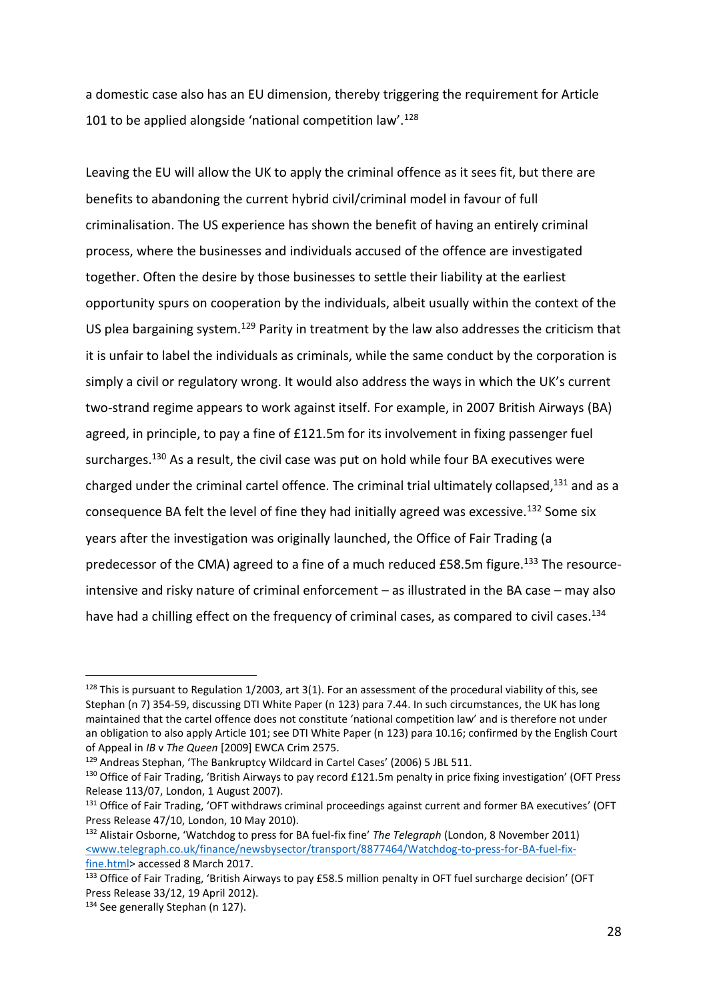a domestic case also has an EU dimension, thereby triggering the requirement for Article 101 to be applied alongside 'national competition law'.<sup>128</sup>

Leaving the EU will allow the UK to apply the criminal offence as it sees fit, but there are benefits to abandoning the current hybrid civil/criminal model in favour of full criminalisation. The US experience has shown the benefit of having an entirely criminal process, where the businesses and individuals accused of the offence are investigated together. Often the desire by those businesses to settle their liability at the earliest opportunity spurs on cooperation by the individuals, albeit usually within the context of the US plea bargaining system.<sup>129</sup> Parity in treatment by the law also addresses the criticism that it is unfair to label the individuals as criminals, while the same conduct by the corporation is simply a civil or regulatory wrong. It would also address the ways in which the UK's current two-strand regime appears to work against itself. For example, in 2007 British Airways (BA) agreed, in principle, to pay a fine of £121.5m for its involvement in fixing passenger fuel surcharges.<sup>130</sup> As a result, the civil case was put on hold while four BA executives were charged under the criminal cartel offence. The criminal trial ultimately collapsed,<sup>131</sup> and as a consequence BA felt the level of fine they had initially agreed was excessive.<sup>132</sup> Some six years after the investigation was originally launched, the Office of Fair Trading (a predecessor of the CMA) agreed to a fine of a much reduced £58.5m figure.<sup>133</sup> The resourceintensive and risky nature of criminal enforcement – as illustrated in the BA case – may also have had a chilling effect on the frequency of criminal cases, as compared to civil cases.<sup>134</sup>

<sup>&</sup>lt;sup>128</sup> This is pursuant to Regulation 1/2003, art 3(1). For an assessment of the procedural viability of this, see Stephan (n 7) 354-59, discussing DTI White Paper (n [123\)](#page-26-0) para 7.44. In such circumstances, the UK has long maintained that the cartel offence does not constitute 'national competition law' and is therefore not under an obligation to also apply Article 101; see DTI White Paper (n [123\)](#page-26-0) para 10.16; confirmed by the English Court of Appeal in *IB* v *The Queen* [2009] EWCA Crim 2575.

<sup>129</sup> Andreas Stephan, 'The Bankruptcy Wildcard in Cartel Cases' (2006) 5 JBL 511.

<sup>&</sup>lt;sup>130</sup> Office of Fair Trading, 'British Airways to pay record £121.5m penalty in price fixing investigation' (OFT Press Release 113/07, London, 1 August 2007).

<sup>&</sup>lt;sup>131</sup> Office of Fair Trading, 'OFT withdraws criminal proceedings against current and former BA executives' (OFT Press Release 47/10, London, 10 May 2010).

<sup>132</sup> Alistair Osborne, 'Watchdog to press for BA fuel-fix fine' *The Telegraph* (London, 8 November 2011) [<www.telegraph.co.uk/finance/newsbysector/transport/8877464/Watchdog-to-press-for-BA-fuel-fix](http://www.telegraph.co.uk/finance/newsbysector/transport/8877464/Watchdog-to-press-for-BA-fuel-fix-fine.html)[fine.html>](http://www.telegraph.co.uk/finance/newsbysector/transport/8877464/Watchdog-to-press-for-BA-fuel-fix-fine.html) accessed 8 March 2017.

<sup>133</sup> Office of Fair Trading, 'British Airways to pay £58.5 million penalty in OFT fuel surcharge decision' (OFT Press Release 33/12, 19 April 2012).

<sup>134</sup> See generally Stephan (n [127\)](#page-26-1).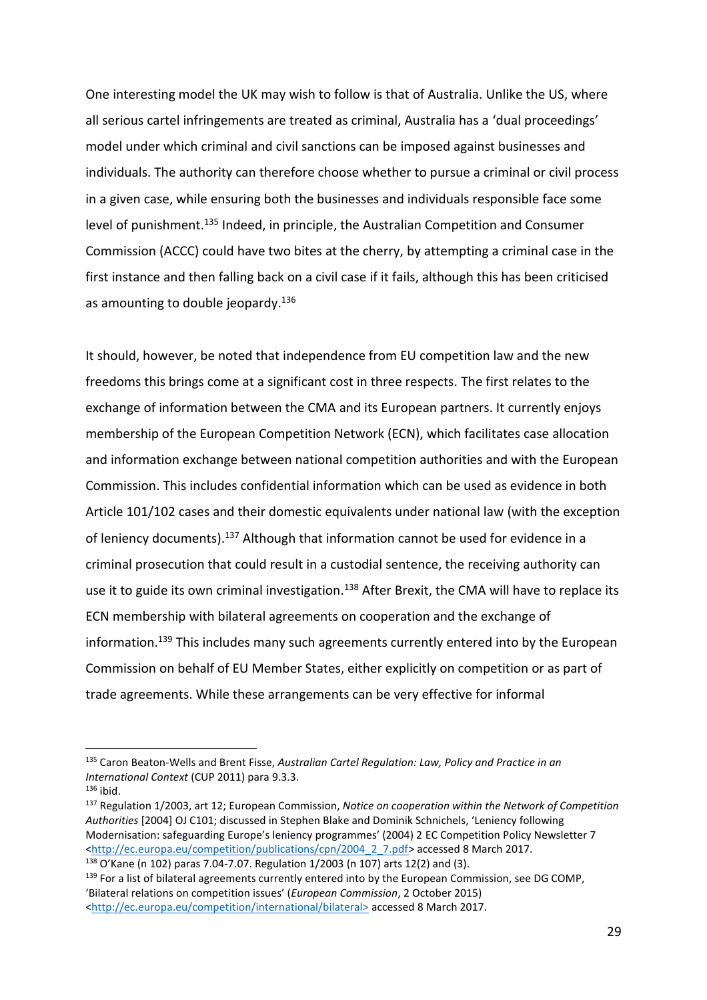One interesting model the UK may wish to follow is that of Australia. Unlike the US, where all serious cartel infringements are treated as criminal, Australia has a 'dual proceedings' model under which criminal and civil sanctions can be imposed against businesses and individuals. The authority can therefore choose whether to pursue a criminal or civil process in a given case, while ensuring both the businesses and individuals responsible face some level of punishment.<sup>135</sup> Indeed, in principle, the Australian Competition and Consumer Commission (ACCC) could have two bites at the cherry, by attempting a criminal case in the first instance and then falling back on a civil case if it fails, although this has been criticised as amounting to double jeopardy. 136

It should, however, be noted that independence from EU competition law and the new freedoms this brings come at a significant cost in three respects. The first relates to the exchange of information between the CMA and its European partners. It currently enjoys membership of the European Competition Network (ECN), which facilitates case allocation and information exchange between national competition authorities and with the European Commission. This includes confidential information which can be used as evidence in both Article 101/102 cases and their domestic equivalents under national law (with the exception of leniency documents).<sup>137</sup> Although that information cannot be used for evidence in a criminal prosecution that could result in a custodial sentence, the receiving authority can use it to guide its own criminal investigation.<sup>138</sup> After Brexit, the CMA will have to replace its ECN membership with bilateral agreements on cooperation and the exchange of information.<sup>139</sup> This includes many such agreements currently entered into by the European Commission on behalf of EU Member States, either explicitly on competition or as part of trade agreements. While these arrangements can be very effective for informal

<sup>135</sup> Caron Beaton-Wells and Brent Fisse, *Australian Cartel Regulation: Law, Policy and Practice in an International Context* (CUP 2011) para 9.3.3.

 $136$  ibid.

<sup>137</sup> Regulation 1/2003, art 12; European Commission, *Notice on cooperation within the Network of Competition Authorities* [2004] OJ C101; discussed in Stephen Blake and Dominik Schnichels, 'Leniency following Modernisation: safeguarding Europe's leniency programmes' (2004) 2 EC Competition Policy Newsletter 7 [<http://ec.europa.eu/competition/publications/cpn/2004\\_2\\_7.pdf>](http://ec.europa.eu/competition/publications/cpn/2004_2_7.pdf) accessed 8 March 2017.

<sup>138</sup> O'Kane (n [102\)](#page-22-0) paras 7.04-7.07. Regulation 1/2003 (n 107) arts 12(2) and (3).

<sup>139</sup> For a list of bilateral agreements currently entered into by the European Commission, see DG COMP, 'Bilateral relations on competition issues' (*European Commission*, 2 October 2015) [<http://ec.europa.eu/competition/international/bilateral>](http://ec.europa.eu/competition/international/bilateral%3e) accessed 8 March 2017.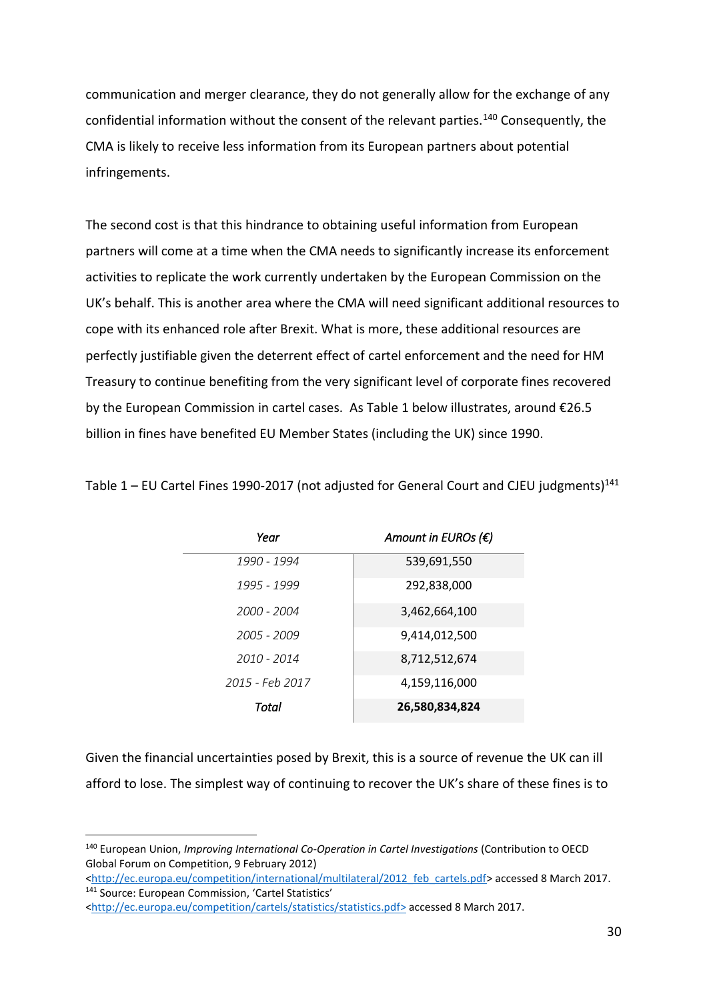communication and merger clearance, they do not generally allow for the exchange of any confidential information without the consent of the relevant parties.<sup>140</sup> Consequently, the CMA is likely to receive less information from its European partners about potential infringements.

The second cost is that this hindrance to obtaining useful information from European partners will come at a time when the CMA needs to significantly increase its enforcement activities to replicate the work currently undertaken by the European Commission on the UK's behalf. This is another area where the CMA will need significant additional resources to cope with its enhanced role after Brexit. What is more, these additional resources are perfectly justifiable given the deterrent effect of cartel enforcement and the need for HM Treasury to continue benefiting from the very significant level of corporate fines recovered by the European Commission in cartel cases. As Table 1 below illustrates, around €26.5 billion in fines have benefited EU Member States (including the UK) since 1990.

Table  $1$  – EU Cartel Fines 1990-2017 (not adjusted for General Court and CJEU judgments)<sup>141</sup>

| Year              | Amount in EUROs $(\epsilon)$ |
|-------------------|------------------------------|
| 1990 - 1994       | 539,691,550                  |
| 1995 - 1999       | 292,838,000                  |
| 2000 - 2004       | 3,462,664,100                |
| 2005 - 2009       | 9,414,012,500                |
| 2010 - 2014       | 8,712,512,674                |
| $2015 - Feh 2017$ | 4,159,116,000                |
| Total             | 26,580,834,824               |

Given the financial uncertainties posed by Brexit, this is a source of revenue the UK can ill afford to lose. The simplest way of continuing to recover the UK's share of these fines is to

<sup>140</sup> European Union, *Improving International Co-Operation in Cartel Investigations* (Contribution to OECD Global Forum on Competition, 9 February 2012)

[<sup>&</sup>lt;http://ec.europa.eu/competition/international/multilateral/2012\\_feb\\_cartels.pdf>](http://ec.europa.eu/competition/international/multilateral/2012_feb_cartels.pdf) accessed 8 March 2017. <sup>141</sup> Source: European Commission, 'Cartel Statistics'

[<sup>&</sup>lt;http://ec.europa.eu/competition/cartels/statistics/statistics.pdf>](http://ec.europa.eu/competition/cartels/statistics/statistics.pdf) accessed 8 March 2017.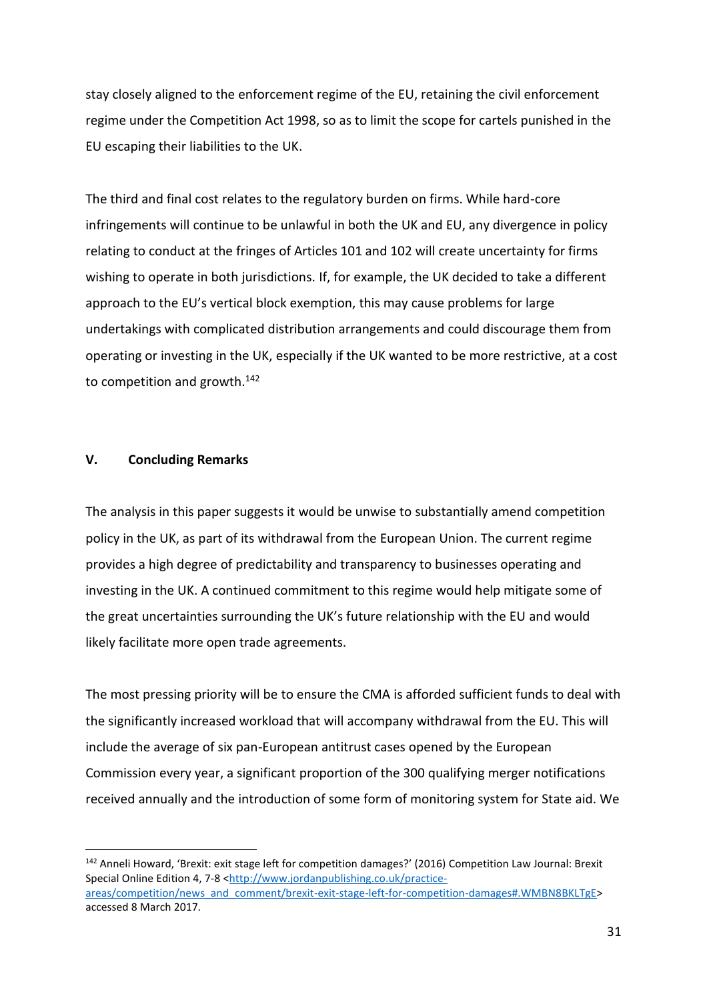stay closely aligned to the enforcement regime of the EU, retaining the civil enforcement regime under the Competition Act 1998, so as to limit the scope for cartels punished in the EU escaping their liabilities to the UK.

The third and final cost relates to the regulatory burden on firms. While hard-core infringements will continue to be unlawful in both the UK and EU, any divergence in policy relating to conduct at the fringes of Articles 101 and 102 will create uncertainty for firms wishing to operate in both jurisdictions. If, for example, the UK decided to take a different approach to the EU's vertical block exemption, this may cause problems for large undertakings with complicated distribution arrangements and could discourage them from operating or investing in the UK, especially if the UK wanted to be more restrictive, at a cost to competition and growth.<sup>142</sup>

#### **V. Concluding Remarks**

 $\overline{a}$ 

The analysis in this paper suggests it would be unwise to substantially amend competition policy in the UK, as part of its withdrawal from the European Union. The current regime provides a high degree of predictability and transparency to businesses operating and investing in the UK. A continued commitment to this regime would help mitigate some of the great uncertainties surrounding the UK's future relationship with the EU and would likely facilitate more open trade agreements.

The most pressing priority will be to ensure the CMA is afforded sufficient funds to deal with the significantly increased workload that will accompany withdrawal from the EU. This will include the average of six pan-European antitrust cases opened by the European Commission every year, a significant proportion of the 300 qualifying merger notifications received annually and the introduction of some form of monitoring system for State aid. We

<sup>142</sup> Anneli Howard, 'Brexit: exit stage left for competition damages?' (2016) Competition Law Journal: Brexit Special Online Edition 4, 7-8 [<http://www.jordanpublishing.co.uk/practice](http://www.jordanpublishing.co.uk/practice-areas/competition/news_and_comment/brexit-exit-stage-left-for-competition-damages#.WMBN8BKLTgE)[areas/competition/news\\_and\\_comment/brexit-exit-stage-left-for-competition-damages#.WMBN8BKLTgE>](http://www.jordanpublishing.co.uk/practice-areas/competition/news_and_comment/brexit-exit-stage-left-for-competition-damages#.WMBN8BKLTgE) accessed 8 March 2017.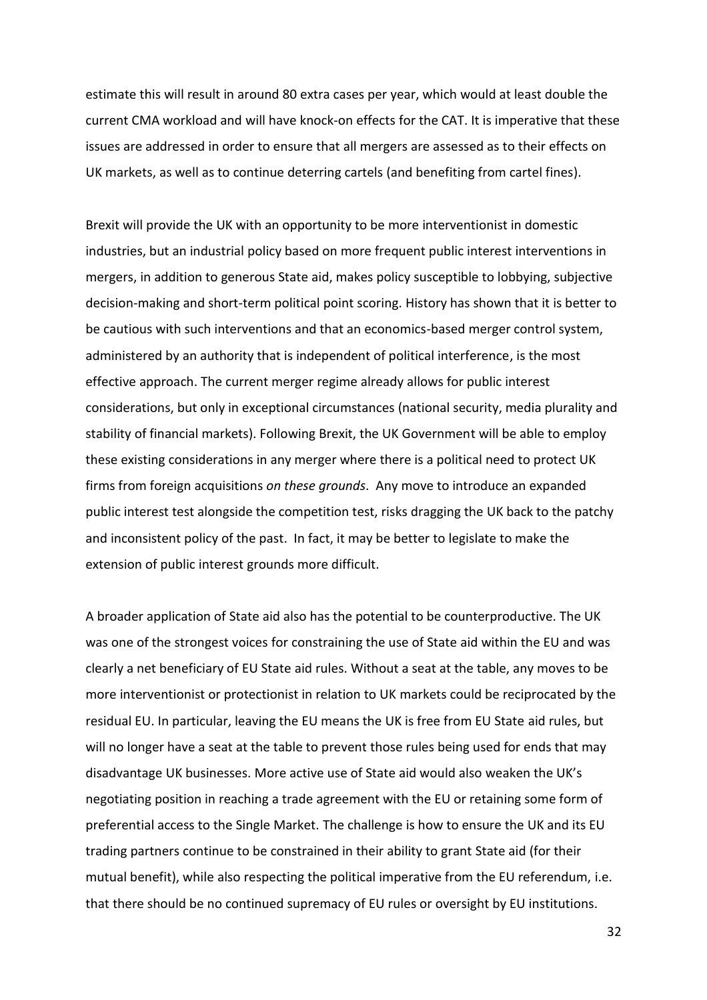estimate this will result in around 80 extra cases per year, which would at least double the current CMA workload and will have knock-on effects for the CAT. It is imperative that these issues are addressed in order to ensure that all mergers are assessed as to their effects on UK markets, as well as to continue deterring cartels (and benefiting from cartel fines).

Brexit will provide the UK with an opportunity to be more interventionist in domestic industries, but an industrial policy based on more frequent public interest interventions in mergers, in addition to generous State aid, makes policy susceptible to lobbying, subjective decision-making and short-term political point scoring. History has shown that it is better to be cautious with such interventions and that an economics-based merger control system, administered by an authority that is independent of political interference, is the most effective approach. The current merger regime already allows for public interest considerations, but only in exceptional circumstances (national security, media plurality and stability of financial markets). Following Brexit, the UK Government will be able to employ these existing considerations in any merger where there is a political need to protect UK firms from foreign acquisitions *on these grounds*. Any move to introduce an expanded public interest test alongside the competition test, risks dragging the UK back to the patchy and inconsistent policy of the past. In fact, it may be better to legislate to make the extension of public interest grounds more difficult.

A broader application of State aid also has the potential to be counterproductive. The UK was one of the strongest voices for constraining the use of State aid within the EU and was clearly a net beneficiary of EU State aid rules. Without a seat at the table, any moves to be more interventionist or protectionist in relation to UK markets could be reciprocated by the residual EU. In particular, leaving the EU means the UK is free from EU State aid rules, but will no longer have a seat at the table to prevent those rules being used for ends that may disadvantage UK businesses. More active use of State aid would also weaken the UK's negotiating position in reaching a trade agreement with the EU or retaining some form of preferential access to the Single Market. The challenge is how to ensure the UK and its EU trading partners continue to be constrained in their ability to grant State aid (for their mutual benefit), while also respecting the political imperative from the EU referendum, i.e. that there should be no continued supremacy of EU rules or oversight by EU institutions.